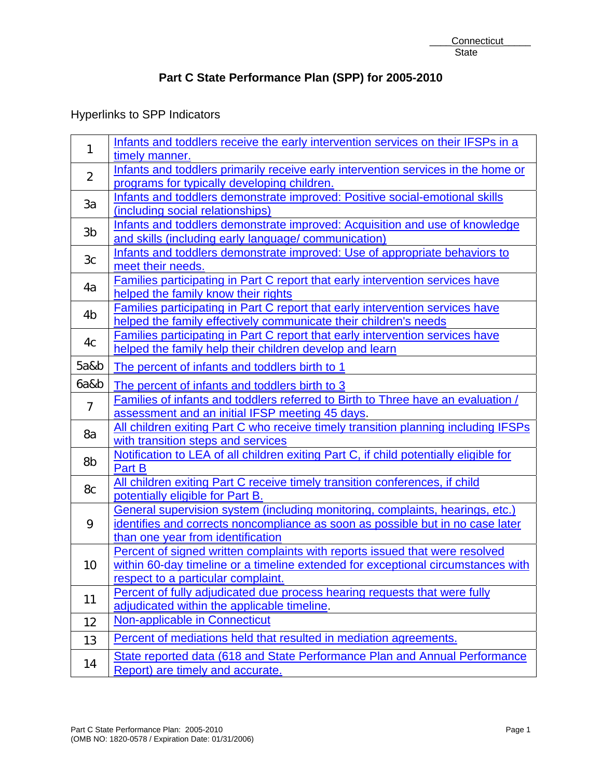# Hyperlinks to SPP Indicators

| $\mathbf{1}$   | Infants and toddlers receive the early intervention services on their IFSPs in a                                |
|----------------|-----------------------------------------------------------------------------------------------------------------|
|                | timely manner.                                                                                                  |
| $\overline{2}$ | Infants and toddlers primarily receive early intervention services in the home or                               |
|                | programs for typically developing children.                                                                     |
| 3a             | Infants and toddlers demonstrate improved: Positive social-emotional skills                                     |
|                | (including social relationships)<br>Infants and toddlers demonstrate improved: Acquisition and use of knowledge |
| 3b             | and skills (including early language/ communication)                                                            |
|                | Infants and toddlers demonstrate improved: Use of appropriate behaviors to                                      |
| 3c             | meet their needs.                                                                                               |
|                | Families participating in Part C report that early intervention services have                                   |
| 4a             | helped the family know their rights                                                                             |
| 4 <sub>b</sub> | Families participating in Part C report that early intervention services have                                   |
|                | helped the family effectively communicate their children's needs                                                |
| 4c             | Families participating in Part C report that early intervention services have                                   |
|                | helped the family help their children develop and learn                                                         |
| 5a&b           | The percent of infants and toddlers birth to 1                                                                  |
| 6a&b           | The percent of infants and toddlers birth to 3                                                                  |
| $\overline{7}$ | Families of infants and toddlers referred to Birth to Three have an evaluation /                                |
|                | assessment and an initial IFSP meeting 45 days.                                                                 |
| 8a             | All children exiting Part C who receive timely transition planning including IFSPs                              |
|                | with transition steps and services                                                                              |
| 8b             | Notification to LEA of all children exiting Part C, if child potentially eligible for                           |
|                | Part B                                                                                                          |
| 8c             | All children exiting Part C receive timely transition conferences, if child                                     |
|                | potentially eligible for Part B.                                                                                |
|                | General supervision system (including monitoring, complaints, hearings, etc.)                                   |
| 9              | identifies and corrects noncompliance as soon as possible but in no case later                                  |
|                | than one year from identification                                                                               |
|                | Percent of signed written complaints with reports issued that were resolved                                     |
| 10             | within 60-day timeline or a timeline extended for exceptional circumstances with                                |
|                | respect to a particular complaint.                                                                              |
| 11             | Percent of fully adjudicated due process hearing requests that were fully                                       |
|                | adjudicated within the applicable timeline.                                                                     |
| 12             | Non-applicable in Connecticut                                                                                   |
| 13             | Percent of mediations held that resulted in mediation agreements.                                               |
| 14             | State reported data (618 and State Performance Plan and Annual Performance<br>Report) are timely and accurate.  |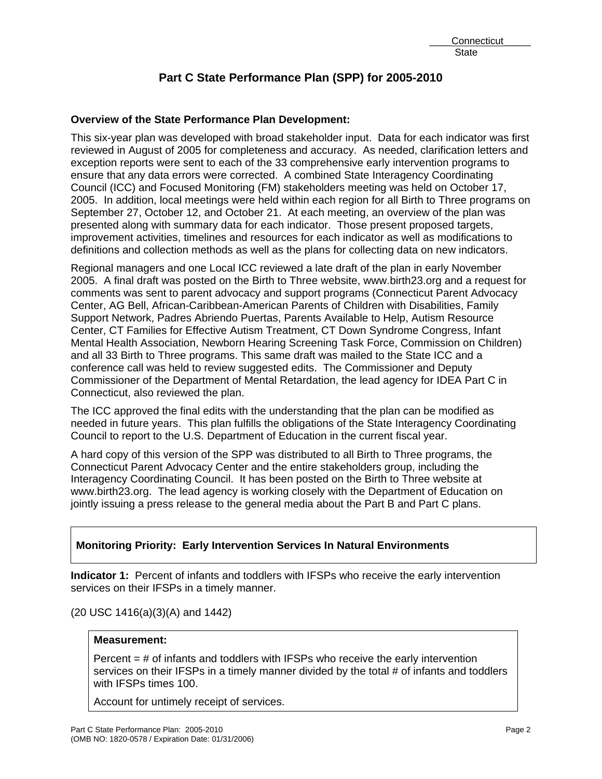# **Overview of the State Performance Plan Development:**

This six-year plan was developed with broad stakeholder input. Data for each indicator was first reviewed in August of 2005 for completeness and accuracy. As needed, clarification letters and exception reports were sent to each of the 33 comprehensive early intervention programs to ensure that any data errors were corrected. A combined State Interagency Coordinating Council (ICC) and Focused Monitoring (FM) stakeholders meeting was held on October 17, 2005. In addition, local meetings were held within each region for all Birth to Three programs on September 27, October 12, and October 21. At each meeting, an overview of the plan was presented along with summary data for each indicator. Those present proposed targets, improvement activities, timelines and resources for each indicator as well as modifications to definitions and collection methods as well as the plans for collecting data on new indicators.

Regional managers and one Local ICC reviewed a late draft of the plan in early November 2005. A final draft was posted on the Birth to Three website, www.birth23.org and a request for comments was sent to parent advocacy and support programs (Connecticut Parent Advocacy Center, AG Bell, African-Caribbean-American Parents of Children with Disabilities, Family Support Network, Padres Abriendo Puertas, Parents Available to Help, Autism Resource Center, CT Families for Effective Autism Treatment, CT Down Syndrome Congress, Infant Mental Health Association, Newborn Hearing Screening Task Force, Commission on Children) and all 33 Birth to Three programs. This same draft was mailed to the State ICC and a conference call was held to review suggested edits. The Commissioner and Deputy Commissioner of the Department of Mental Retardation, the lead agency for IDEA Part C in Connecticut, also reviewed the plan.

The ICC approved the final edits with the understanding that the plan can be modified as needed in future years. This plan fulfills the obligations of the State Interagency Coordinating Council to report to the U.S. Department of Education in the current fiscal year.

A hard copy of this version of the SPP was distributed to all Birth to Three programs, the Connecticut Parent Advocacy Center and the entire stakeholders group, including the Interagency Coordinating Council. It has been posted on the Birth to Three website at www.birth23.org. The lead agency is working closely with the Department of Education on jointly issuing a press release to the general media about the Part B and Part C plans.

# **Monitoring Priority: Early Intervention Services In Natural Environments**

**Indicator 1:** Percent of infants and toddlers with IFSPs who receive the early intervention services on their IFSPs in a timely manner.

(20 USC 1416(a)(3)(A) and 1442)

## **Measurement:**

Percent  $=$  # of infants and toddlers with IFSPs who receive the early intervention services on their IFSPs in a timely manner divided by the total # of infants and toddlers with IFSPs times 100.

Account for untimely receipt of services.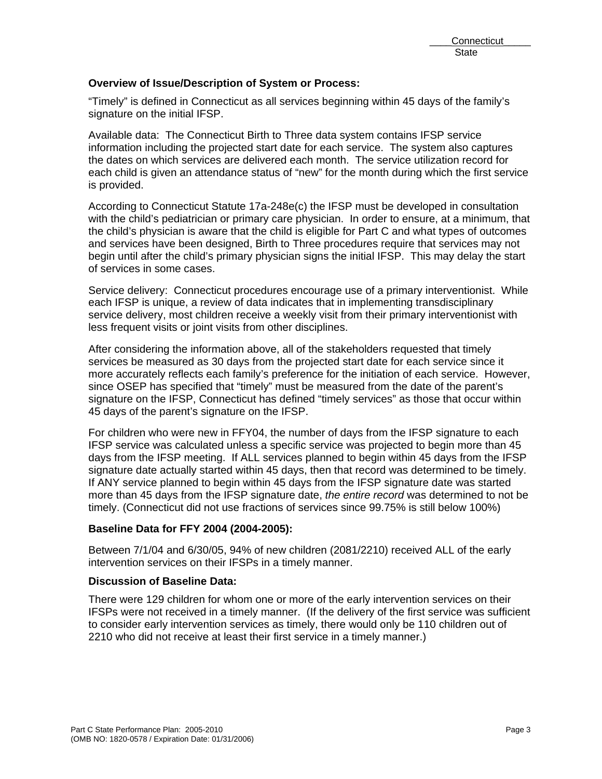## **Overview of Issue/Description of System or Process:**

"Timely" is defined in Connecticut as all services beginning within 45 days of the family's signature on the initial IFSP.

Available data: The Connecticut Birth to Three data system contains IFSP service information including the projected start date for each service. The system also captures the dates on which services are delivered each month. The service utilization record for each child is given an attendance status of "new" for the month during which the first service is provided.

According to Connecticut Statute 17a-248e(c) the IFSP must be developed in consultation with the child's pediatrician or primary care physician. In order to ensure, at a minimum, that the child's physician is aware that the child is eligible for Part C and what types of outcomes and services have been designed, Birth to Three procedures require that services may not begin until after the child's primary physician signs the initial IFSP. This may delay the start of services in some cases.

Service delivery: Connecticut procedures encourage use of a primary interventionist. While each IFSP is unique, a review of data indicates that in implementing transdisciplinary service delivery, most children receive a weekly visit from their primary interventionist with less frequent visits or joint visits from other disciplines.

After considering the information above, all of the stakeholders requested that timely services be measured as 30 days from the projected start date for each service since it more accurately reflects each family's preference for the initiation of each service. However, since OSEP has specified that "timely" must be measured from the date of the parent's signature on the IFSP, Connecticut has defined "timely services" as those that occur within 45 days of the parent's signature on the IFSP.

For children who were new in FFY04, the number of days from the IFSP signature to each IFSP service was calculated unless a specific service was projected to begin more than 45 days from the IFSP meeting. If ALL services planned to begin within 45 days from the IFSP signature date actually started within 45 days, then that record was determined to be timely. If ANY service planned to begin within 45 days from the IFSP signature date was started more than 45 days from the IFSP signature date, *the entire record* was determined to not be timely. (Connecticut did not use fractions of services since 99.75% is still below 100%)

## **Baseline Data for FFY 2004 (2004-2005):**

Between 7/1/04 and 6/30/05, 94% of new children (2081/2210) received ALL of the early intervention services on their IFSPs in a timely manner.

#### **Discussion of Baseline Data:**

There were 129 children for whom one or more of the early intervention services on their IFSPs were not received in a timely manner. (If the delivery of the first service was sufficient to consider early intervention services as timely, there would only be 110 children out of 2210 who did not receive at least their first service in a timely manner.)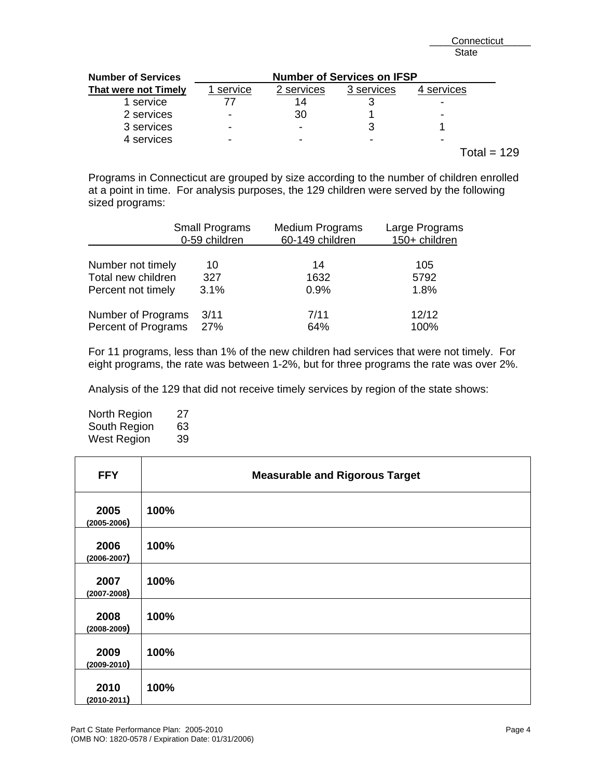| <b>Number of Services</b> | <b>Number of Services on IFSP</b> |            |            |          |  |  |
|---------------------------|-----------------------------------|------------|------------|----------|--|--|
| That were not Timely      | service                           | 2 services | 3 services | services |  |  |
| 1 service                 |                                   | 14         |            |          |  |  |
| 2 services                | -                                 | 30         |            |          |  |  |
| 3 services                | -                                 | -          |            |          |  |  |
| 4 services                | -                                 |            |            |          |  |  |
|                           |                                   |            |            | ∣otal =  |  |  |

Programs in Connecticut are grouped by size according to the number of children enrolled at a point in time. For analysis purposes, the 129 children were served by the following sized programs:

|                     | <b>Small Programs</b><br>0-59 children | <b>Medium Programs</b><br>60-149 children | Large Programs<br>150+ children |
|---------------------|----------------------------------------|-------------------------------------------|---------------------------------|
| Number not timely   | 10                                     | 14                                        | 105                             |
| Total new children  | 327                                    | 1632                                      | 5792                            |
| Percent not timely  | 3.1%                                   | 0.9%                                      | 1.8%                            |
| Number of Programs  | 3/11                                   | 7/11                                      | 12/12                           |
| Percent of Programs | 27%                                    | 64%                                       | 100%                            |

For 11 programs, less than 1% of the new children had services that were not timely. For eight programs, the rate was between 1-2%, but for three programs the rate was over 2%.

Analysis of the 129 that did not receive timely services by region of the state shows:

North Region 27 South Region 63 West Region 39

| <b>FFY</b>              | <b>Measurable and Rigorous Target</b> |
|-------------------------|---------------------------------------|
| 2005<br>$(2005 - 2006)$ | 100%                                  |
| 2006<br>$(2006 - 2007)$ | 100%                                  |
| 2007<br>$(2007 - 2008)$ | 100%                                  |
| 2008<br>$(2008 - 2009)$ | 100%                                  |
| 2009<br>$(2009 - 2010)$ | 100%                                  |
| 2010<br>$(2010 - 2011)$ | 100%                                  |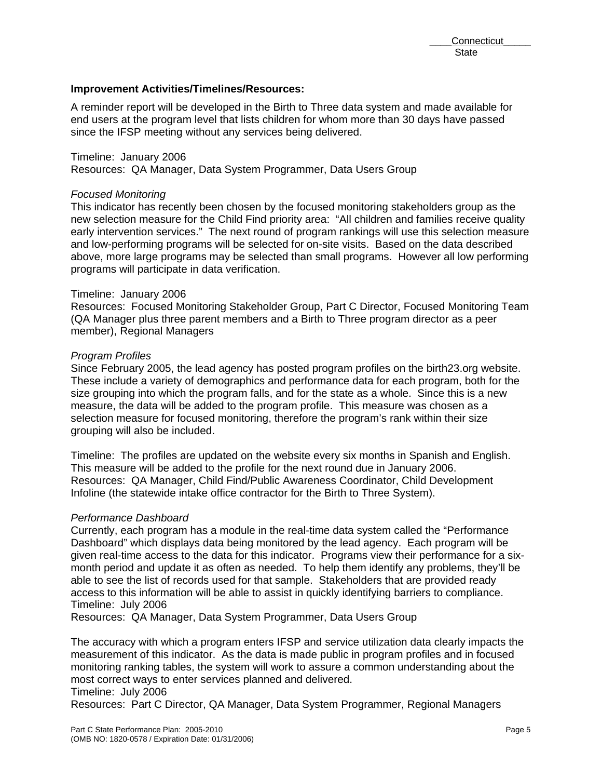#### **Improvement Activities/Timelines/Resources:**

A reminder report will be developed in the Birth to Three data system and made available for end users at the program level that lists children for whom more than 30 days have passed since the IFSP meeting without any services being delivered.

# Timeline: January 2006

Resources: QA Manager, Data System Programmer, Data Users Group

#### *Focused Monitoring*

This indicator has recently been chosen by the focused monitoring stakeholders group as the new selection measure for the Child Find priority area: "All children and families receive quality early intervention services." The next round of program rankings will use this selection measure and low-performing programs will be selected for on-site visits. Based on the data described above, more large programs may be selected than small programs. However all low performing programs will participate in data verification.

#### Timeline: January 2006

Resources: Focused Monitoring Stakeholder Group, Part C Director, Focused Monitoring Team (QA Manager plus three parent members and a Birth to Three program director as a peer member), Regional Managers

#### *Program Profiles*

Since February 2005, the lead agency has posted program profiles on the birth23.org website. These include a variety of demographics and performance data for each program, both for the size grouping into which the program falls, and for the state as a whole. Since this is a new measure, the data will be added to the program profile. This measure was chosen as a selection measure for focused monitoring, therefore the program's rank within their size grouping will also be included.

Timeline: The profiles are updated on the website every six months in Spanish and English. This measure will be added to the profile for the next round due in January 2006. Resources: QA Manager, Child Find/Public Awareness Coordinator, Child Development Infoline (the statewide intake office contractor for the Birth to Three System).

#### *Performance Dashboard*

Currently, each program has a module in the real-time data system called the "Performance Dashboard" which displays data being monitored by the lead agency. Each program will be given real-time access to the data for this indicator. Programs view their performance for a sixmonth period and update it as often as needed. To help them identify any problems, they'll be able to see the list of records used for that sample. Stakeholders that are provided ready access to this information will be able to assist in quickly identifying barriers to compliance. Timeline: July 2006

Resources: QA Manager, Data System Programmer, Data Users Group

The accuracy with which a program enters IFSP and service utilization data clearly impacts the measurement of this indicator. As the data is made public in program profiles and in focused monitoring ranking tables, the system will work to assure a common understanding about the most correct ways to enter services planned and delivered.

```
Timeline: July 2006
```
Resources: Part C Director, QA Manager, Data System Programmer, Regional Managers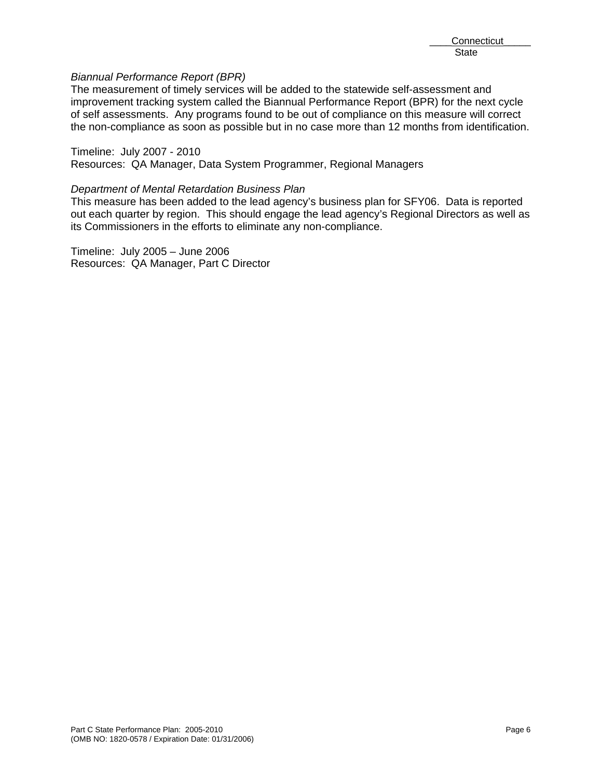## *Biannual Performance Report (BPR)*

The measurement of timely services will be added to the statewide self-assessment and improvement tracking system called the Biannual Performance Report (BPR) for the next cycle of self assessments. Any programs found to be out of compliance on this measure will correct the non-compliance as soon as possible but in no case more than 12 months from identification.

#### Timeline: July 2007 - 2010

Resources: QA Manager, Data System Programmer, Regional Managers

#### *Department of Mental Retardation Business Plan*

This measure has been added to the lead agency's business plan for SFY06. Data is reported out each quarter by region. This should engage the lead agency's Regional Directors as well as its Commissioners in the efforts to eliminate any non-compliance.

Timeline: July 2005 – June 2006 Resources: QA Manager, Part C Director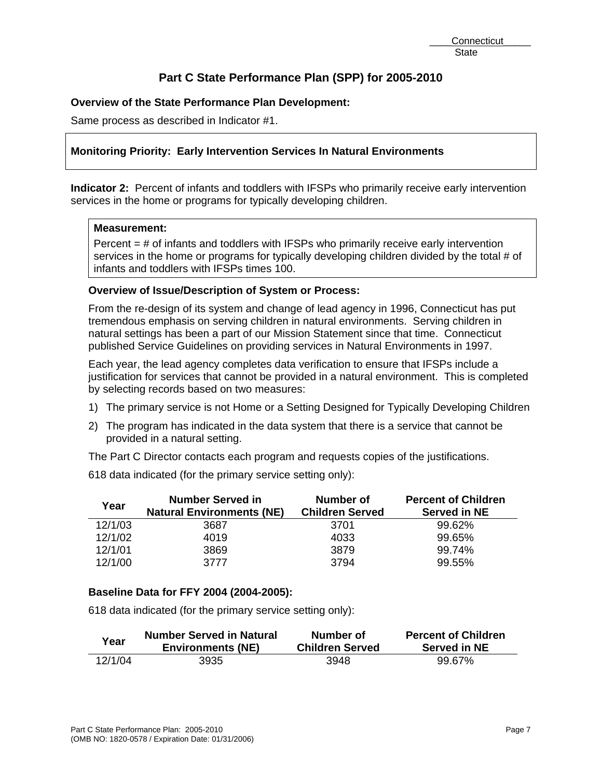# **Overview of the State Performance Plan Development:**

Same process as described in Indicator #1.

# **Monitoring Priority: Early Intervention Services In Natural Environments**

**Indicator 2:** Percent of infants and toddlers with IFSPs who primarily receive early intervention services in the home or programs for typically developing children.

## **Measurement:**

Percent  $=$  # of infants and toddlers with IFSPs who primarily receive early intervention services in the home or programs for typically developing children divided by the total # of infants and toddlers with IFSPs times 100.

# **Overview of Issue/Description of System or Process:**

From the re-design of its system and change of lead agency in 1996, Connecticut has put tremendous emphasis on serving children in natural environments. Serving children in natural settings has been a part of our Mission Statement since that time. Connecticut published Service Guidelines on providing services in Natural Environments in 1997.

Each year, the lead agency completes data verification to ensure that IFSPs include a justification for services that cannot be provided in a natural environment. This is completed by selecting records based on two measures:

- 1) The primary service is not Home or a Setting Designed for Typically Developing Children
- 2) The program has indicated in the data system that there is a service that cannot be provided in a natural setting.

The Part C Director contacts each program and requests copies of the justifications.

618 data indicated (for the primary service setting only):

| Year    | <b>Number Served in</b>          | Number of              | <b>Percent of Children</b> |
|---------|----------------------------------|------------------------|----------------------------|
|         | <b>Natural Environments (NE)</b> | <b>Children Served</b> | <b>Served in NE</b>        |
| 12/1/03 | 3687                             | 3701                   | 99.62%                     |
| 12/1/02 | 4019                             | 4033                   | 99.65%                     |
| 12/1/01 | 3869                             | 3879                   | 99.74%                     |
| 12/1/00 | 3777                             | 3794                   | 99.55%                     |

# **Baseline Data for FFY 2004 (2004-2005):**

618 data indicated (for the primary service setting only):

| Year    | <b>Number Served in Natural</b> | Number of              | <b>Percent of Children</b> |
|---------|---------------------------------|------------------------|----------------------------|
|         | <b>Environments (NE)</b>        | <b>Children Served</b> | <b>Served in NE</b>        |
| 12/1/04 | 3935                            | 3948                   | 99.67%                     |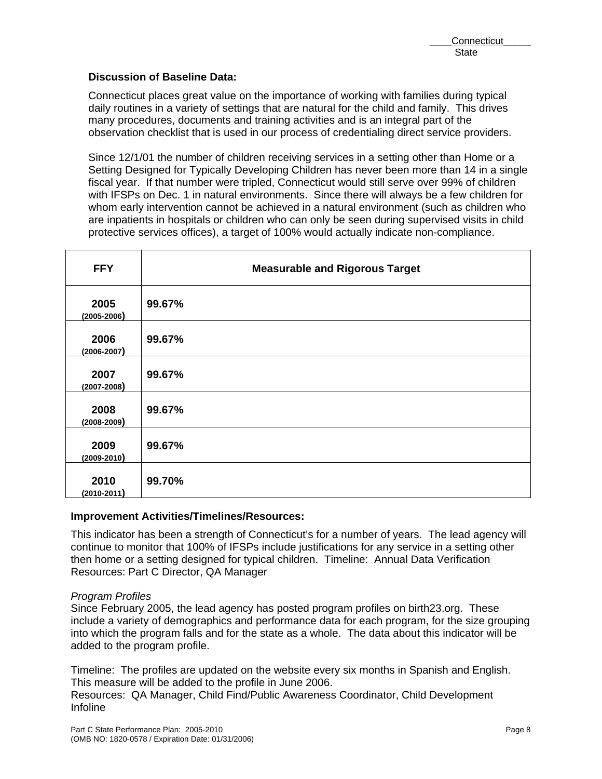# **Discussion of Baseline Data:**

Connecticut places great value on the importance of working with families during typical daily routines in a variety of settings that are natural for the child and family. This drives many procedures, documents and training activities and is an integral part of the observation checklist that is used in our process of credentialing direct service providers.

Since 12/1/01 the number of children receiving services in a setting other than Home or a Setting Designed for Typically Developing Children has never been more than 14 in a single fiscal year. If that number were tripled, Connecticut would still serve over 99% of children with IFSPs on Dec. 1 in natural environments. Since there will always be a few children for whom early intervention cannot be achieved in a natural environment (such as children who are inpatients in hospitals or children who can only be seen during supervised visits in child protective services offices), a target of 100% would actually indicate non-compliance.

| <b>FFY</b>              | <b>Measurable and Rigorous Target</b> |
|-------------------------|---------------------------------------|
| 2005<br>$(2005 - 2006)$ | 99.67%                                |
| 2006<br>$(2006 - 2007)$ | 99.67%                                |
| 2007<br>$(2007 - 2008)$ | 99.67%                                |
| 2008<br>$(2008 - 2009)$ | 99.67%                                |
| 2009<br>$(2009 - 2010)$ | 99.67%                                |
| 2010<br>$(2010 - 2011)$ | 99.70%                                |

## **Improvement Activities/Timelines/Resources:**

This indicator has been a strength of Connecticut's for a number of years. The lead agency will continue to monitor that 100% of IFSPs include justifications for any service in a setting other then home or a setting designed for typical children. Timeline: Annual Data Verification Resources: Part C Director, QA Manager

## *Program Profiles*

Since February 2005, the lead agency has posted program profiles on birth23.org. These include a variety of demographics and performance data for each program, for the size grouping into which the program falls and for the state as a whole. The data about this indicator will be added to the program profile.

Timeline: The profiles are updated on the website every six months in Spanish and English. This measure will be added to the profile in June 2006.

Resources: QA Manager, Child Find/Public Awareness Coordinator, Child Development Infoline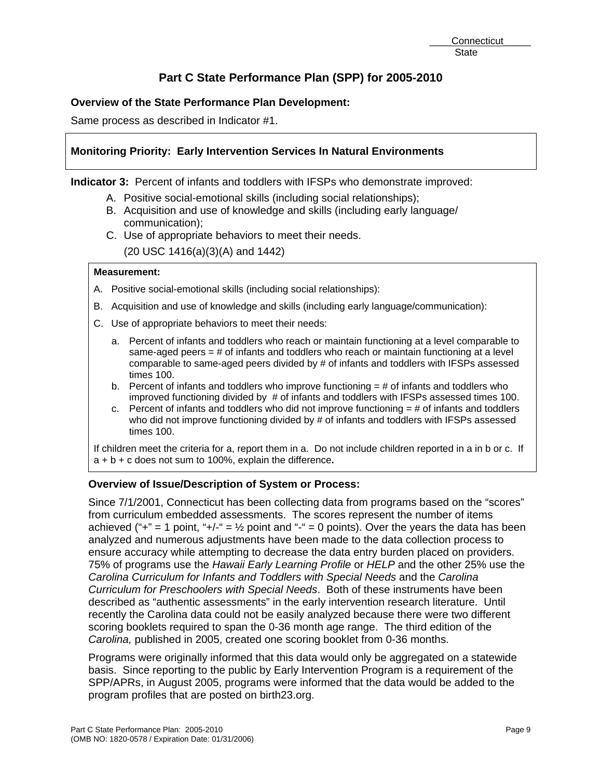# **Overview of the State Performance Plan Development:**

Same process as described in Indicator #1.

# **Monitoring Priority: Early Intervention Services In Natural Environments**

**Indicator 3:** Percent of infants and toddlers with IFSPs who demonstrate improved:

- A. Positive social-emotional skills (including social relationships);
- B. Acquisition and use of knowledge and skills (including early language/ communication);
- C. Use of appropriate behaviors to meet their needs. (20 USC 1416(a)(3)(A) and 1442)

## **Measurement:**

- A. Positive social-emotional skills (including social relationships):
- B. Acquisition and use of knowledge and skills (including early language/communication):
- C. Use of appropriate behaviors to meet their needs:
	- a. Percent of infants and toddlers who reach or maintain functioning at a level comparable to same-aged peers  $=$  # of infants and toddlers who reach or maintain functioning at a level comparable to same-aged peers divided by # of infants and toddlers with IFSPs assessed times 100.
	- b. Percent of infants and toddlers who improve functioning  $=$  # of infants and toddlers who improved functioning divided by # of infants and toddlers with IFSPs assessed times 100.
	- c. Percent of infants and toddlers who did not improve functioning  $=$  # of infants and toddlers who did not improve functioning divided by # of infants and toddlers with IFSPs assessed times 100.

If children meet the criteria for a, report them in a. Do not include children reported in a in b or c. If a + b + c does not sum to 100%, explain the difference**.**

## **Overview of Issue/Description of System or Process:**

Since 7/1/2001, Connecticut has been collecting data from programs based on the "scores" from curriculum embedded assessments. The scores represent the number of items achieved ("+" = 1 point, "+/-" =  $\frac{1}{2}$  point and "-" = 0 points). Over the years the data has been analyzed and numerous adjustments have been made to the data collection process to ensure accuracy while attempting to decrease the data entry burden placed on providers. 75% of programs use the *Hawaii Early Learning Profile* or *HELP* and the other 25% use the *Carolina Curriculum for Infants and Toddlers with Special Needs* and the *Carolina Curriculum for Preschoolers with Special Needs*. Both of these instruments have been described as "authentic assessments" in the early intervention research literature. Until recently the Carolina data could not be easily analyzed because there were two different scoring booklets required to span the 0-36 month age range. The third edition of the *Carolina,* published in 2005, created one scoring booklet from 0-36 months.

Programs were originally informed that this data would only be aggregated on a statewide basis. Since reporting to the public by Early Intervention Program is a requirement of the SPP/APRs, in August 2005, programs were informed that the data would be added to the program profiles that are posted on birth23.org.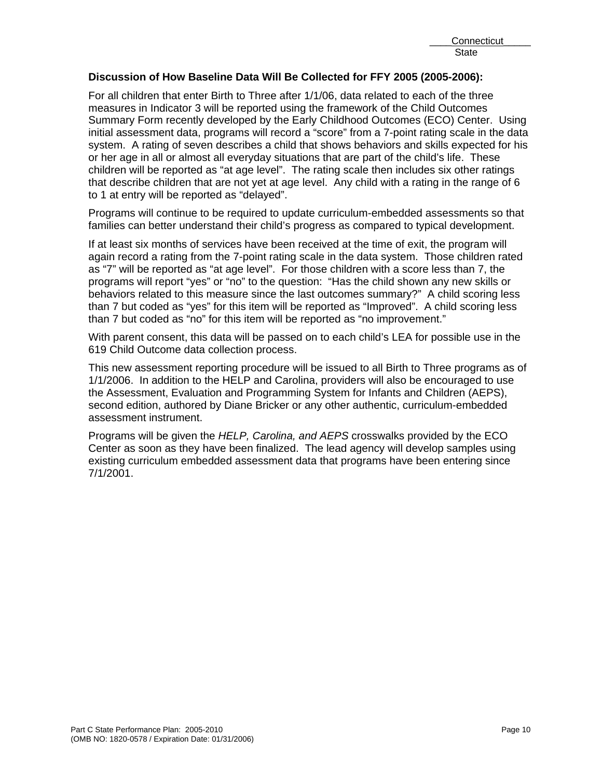## **Discussion of How Baseline Data Will Be Collected for FFY 2005 (2005-2006):**

For all children that enter Birth to Three after 1/1/06, data related to each of the three measures in Indicator 3 will be reported using the framework of the Child Outcomes Summary Form recently developed by the Early Childhood Outcomes (ECO) Center. Using initial assessment data, programs will record a "score" from a 7-point rating scale in the data system. A rating of seven describes a child that shows behaviors and skills expected for his or her age in all or almost all everyday situations that are part of the child's life. These children will be reported as "at age level". The rating scale then includes six other ratings that describe children that are not yet at age level. Any child with a rating in the range of 6 to 1 at entry will be reported as "delayed".

Programs will continue to be required to update curriculum-embedded assessments so that families can better understand their child's progress as compared to typical development.

If at least six months of services have been received at the time of exit, the program will again record a rating from the 7-point rating scale in the data system. Those children rated as "7" will be reported as "at age level". For those children with a score less than 7, the programs will report "yes" or "no" to the question: "Has the child shown any new skills or behaviors related to this measure since the last outcomes summary?" A child scoring less than 7 but coded as "yes" for this item will be reported as "Improved". A child scoring less than 7 but coded as "no" for this item will be reported as "no improvement."

With parent consent, this data will be passed on to each child's LEA for possible use in the 619 Child Outcome data collection process.

This new assessment reporting procedure will be issued to all Birth to Three programs as of 1/1/2006. In addition to the HELP and Carolina, providers will also be encouraged to use the Assessment, Evaluation and Programming System for Infants and Children (AEPS), second edition, authored by Diane Bricker or any other authentic, curriculum-embedded assessment instrument.

Programs will be given the *HELP, Carolina, and AEPS* crosswalks provided by the ECO Center as soon as they have been finalized. The lead agency will develop samples using existing curriculum embedded assessment data that programs have been entering since 7/1/2001.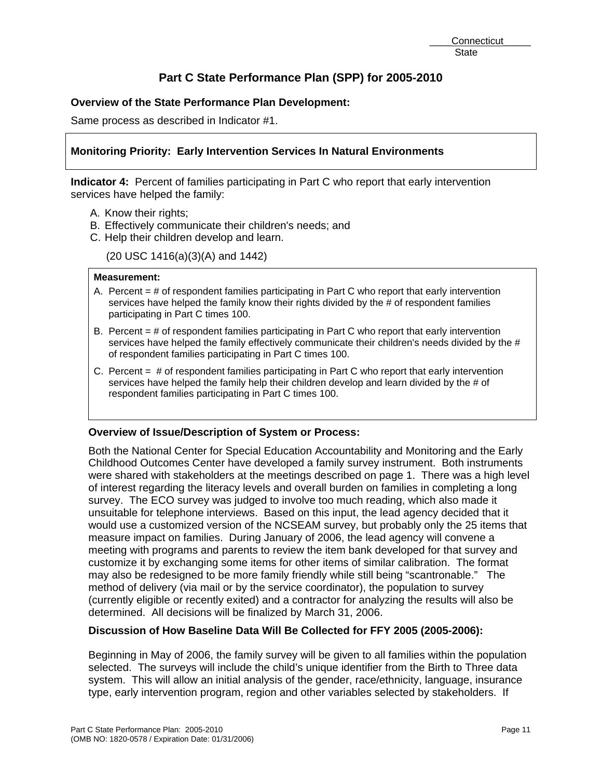# **Overview of the State Performance Plan Development:**

Same process as described in Indicator #1.

# **Monitoring Priority: Early Intervention Services In Natural Environments**

**Indicator 4:** Percent of families participating in Part C who report that early intervention services have helped the family:

- A. Know their rights;
- B. Effectively communicate their children's needs; and
- C. Help their children develop and learn.

(20 USC 1416(a)(3)(A) and 1442)

#### **Measurement:**

- A. Percent  $=$  # of respondent families participating in Part C who report that early intervention services have helped the family know their rights divided by the # of respondent families participating in Part C times 100.
- B. Percent = # of respondent families participating in Part C who report that early intervention services have helped the family effectively communicate their children's needs divided by the # of respondent families participating in Part C times 100.
- C. Percent = # of respondent families participating in Part C who report that early intervention services have helped the family help their children develop and learn divided by the # of respondent families participating in Part C times 100.

## **Overview of Issue/Description of System or Process:**

Both the National Center for Special Education Accountability and Monitoring and the Early Childhood Outcomes Center have developed a family survey instrument. Both instruments were shared with stakeholders at the meetings described on page 1. There was a high level of interest regarding the literacy levels and overall burden on families in completing a long survey. The ECO survey was judged to involve too much reading, which also made it unsuitable for telephone interviews. Based on this input, the lead agency decided that it would use a customized version of the NCSEAM survey, but probably only the 25 items that measure impact on families. During January of 2006, the lead agency will convene a meeting with programs and parents to review the item bank developed for that survey and customize it by exchanging some items for other items of similar calibration. The format may also be redesigned to be more family friendly while still being "scantronable." The method of delivery (via mail or by the service coordinator), the population to survey (currently eligible or recently exited) and a contractor for analyzing the results will also be determined. All decisions will be finalized by March 31, 2006.

## **Discussion of How Baseline Data Will Be Collected for FFY 2005 (2005-2006):**

Beginning in May of 2006, the family survey will be given to all families within the population selected. The surveys will include the child's unique identifier from the Birth to Three data system. This will allow an initial analysis of the gender, race/ethnicity, language, insurance type, early intervention program, region and other variables selected by stakeholders. If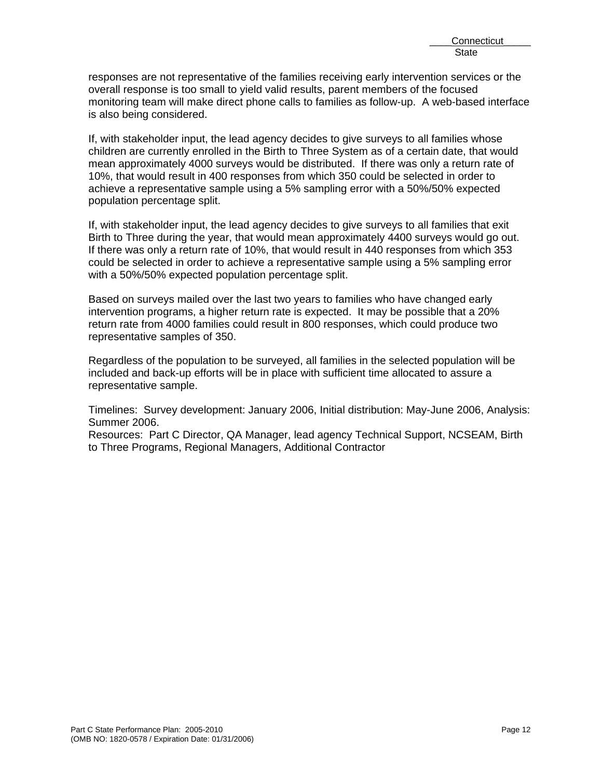responses are not representative of the families receiving early intervention services or the overall response is too small to yield valid results, parent members of the focused monitoring team will make direct phone calls to families as follow-up. A web-based interface is also being considered.

If, with stakeholder input, the lead agency decides to give surveys to all families whose children are currently enrolled in the Birth to Three System as of a certain date, that would mean approximately 4000 surveys would be distributed. If there was only a return rate of 10%, that would result in 400 responses from which 350 could be selected in order to achieve a representative sample using a 5% sampling error with a 50%/50% expected population percentage split.

If, with stakeholder input, the lead agency decides to give surveys to all families that exit Birth to Three during the year, that would mean approximately 4400 surveys would go out. If there was only a return rate of 10%, that would result in 440 responses from which 353 could be selected in order to achieve a representative sample using a 5% sampling error with a 50%/50% expected population percentage split.

Based on surveys mailed over the last two years to families who have changed early intervention programs, a higher return rate is expected. It may be possible that a 20% return rate from 4000 families could result in 800 responses, which could produce two representative samples of 350.

Regardless of the population to be surveyed, all families in the selected population will be included and back-up efforts will be in place with sufficient time allocated to assure a representative sample.

Timelines: Survey development: January 2006, Initial distribution: May-June 2006, Analysis: Summer 2006.

Resources: Part C Director, QA Manager, lead agency Technical Support, NCSEAM, Birth to Three Programs, Regional Managers, Additional Contractor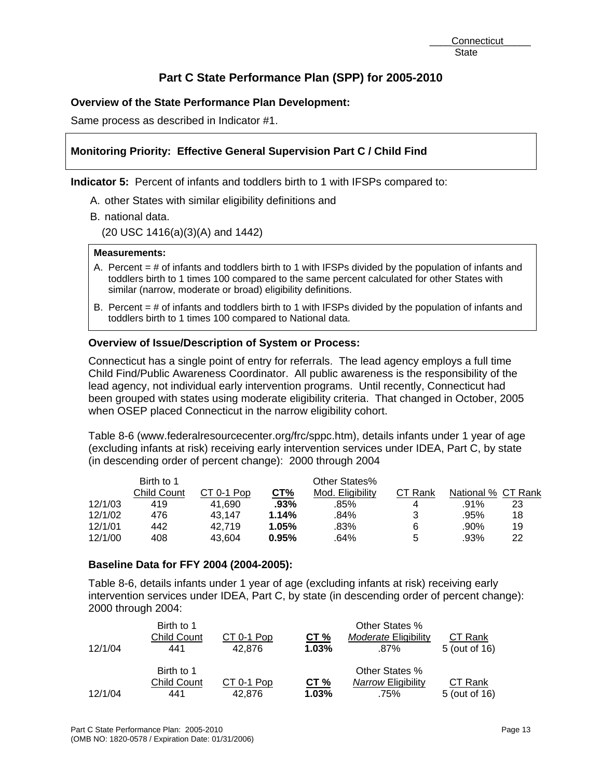# **Overview of the State Performance Plan Development:**

Same process as described in Indicator #1.

# **Monitoring Priority: Effective General Supervision Part C / Child Find**

**Indicator 5:** Percent of infants and toddlers birth to 1 with IFSPs compared to:

- A. other States with similar eligibility definitions and
- B. national data.

(20 USC 1416(a)(3)(A) and 1442)

#### **Measurements:**

- A. Percent = # of infants and toddlers birth to 1 with IFSPs divided by the population of infants and toddlers birth to 1 times 100 compared to the same percent calculated for other States with similar (narrow, moderate or broad) eligibility definitions.
- B. Percent = # of infants and toddlers birth to 1 with IFSPs divided by the population of infants and toddlers birth to 1 times 100 compared to National data.

# **Overview of Issue/Description of System or Process:**

Connecticut has a single point of entry for referrals. The lead agency employs a full time Child Find/Public Awareness Coordinator. All public awareness is the responsibility of the lead agency, not individual early intervention programs. Until recently, Connecticut had been grouped with states using moderate eligibility criteria. That changed in October, 2005 when OSEP placed Connecticut in the narrow eligibility cohort.

Table 8-6 (www.federalresourcecenter.org/frc/sppc.htm), details infants under 1 year of age (excluding infants at risk) receiving early intervention services under IDEA, Part C, by state (in descending order of percent change): 2000 through 2004

|         | Birth to 1  |            |       | Other States%    |         |                    |    |
|---------|-------------|------------|-------|------------------|---------|--------------------|----|
|         | Child Count | CT 0-1 Pop | CT%   | Mod. Eligibility | CT Rank | National % CT Rank |    |
| 12/1/03 | 419         | 41.690     | .93%  | .85%             | 4       | .91%               | 23 |
| 12/1/02 | 476         | 43.147     | 1.14% | .84%             | 3       | .95%               | 18 |
| 12/1/01 | 442         | 42.719     | 1.05% | .83%             | 6       | .90%               | 19 |
| 12/1/00 | 408         | 43.604     | 0.95% | .64%             | 5       | .93%               | 22 |

## **Baseline Data for FFY 2004 (2004-2005):**

Table 8-6, details infants under 1 year of age (excluding infants at risk) receiving early intervention services under IDEA, Part C, by state (in descending order of percent change): 2000 through 2004:

| 12/1/04 | Birth to 1<br><b>Child Count</b><br>441 | <u>CT 0-1 Pop</u><br>42.876 | <u>CT %</u><br>1.03% | Other States %<br><i>Moderate</i> Eligibility<br>.87% | CT Rank<br>5 (out of 16) |
|---------|-----------------------------------------|-----------------------------|----------------------|-------------------------------------------------------|--------------------------|
| 12/1/04 | Birth to 1<br><b>Child Count</b><br>441 | CT 0-1 Pop<br>42.876        | CT%<br>1.03%         | Other States %<br>Narrow Eligibility<br>.75%          | CT Rank<br>5 (out of 16) |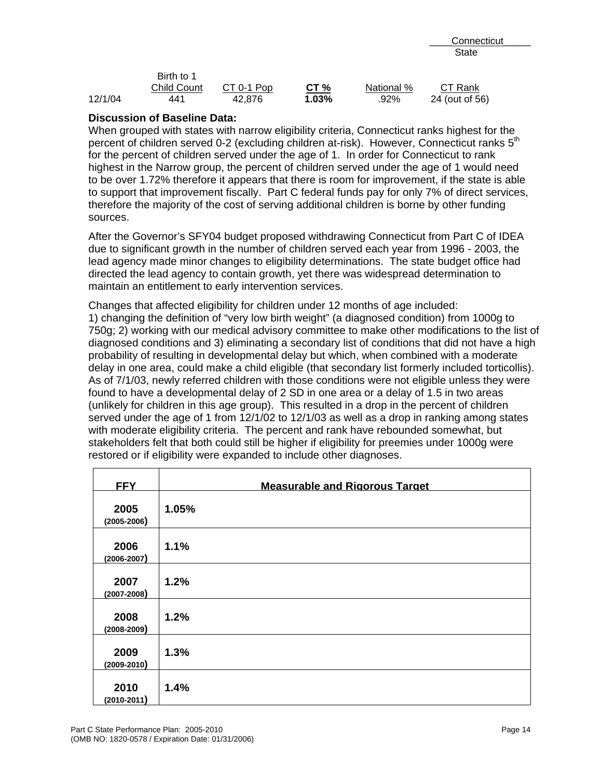|         | Birth to 1         |            |        |            |                |
|---------|--------------------|------------|--------|------------|----------------|
|         | <b>Child Count</b> | CT 0-1 Pop | CT $%$ | National % | CT Rank        |
| 12/1/04 | 441                | 42.876     | 1.03%  | .92%       | 24 (out of 56) |

## **Discussion of Baseline Data:**

When grouped with states with narrow eligibility criteria, Connecticut ranks highest for the percent of children served 0-2 (excluding children at-risk). However, Connecticut ranks 5<sup>th</sup> for the percent of children served under the age of 1. In order for Connecticut to rank highest in the Narrow group, the percent of children served under the age of 1 would need to be over 1.72% therefore it appears that there is room for improvement, if the state is able to support that improvement fiscally. Part C federal funds pay for only 7% of direct services, therefore the majority of the cost of serving additional children is borne by other funding sources.

After the Governor's SFY04 budget proposed withdrawing Connecticut from Part C of IDEA due to significant growth in the number of children served each year from 1996 - 2003, the lead agency made minor changes to eligibility determinations. The state budget office had directed the lead agency to contain growth, yet there was widespread determination to maintain an entitlement to early intervention services.

Changes that affected eligibility for children under 12 months of age included: 1) changing the definition of "very low birth weight" (a diagnosed condition) from 1000g to 750g; 2) working with our medical advisory committee to make other modifications to the list of diagnosed conditions and 3) eliminating a secondary list of conditions that did not have a high probability of resulting in developmental delay but which, when combined with a moderate delay in one area, could make a child eligible (that secondary list formerly included torticollis). As of 7/1/03, newly referred children with those conditions were not eligible unless they were found to have a developmental delay of 2 SD in one area or a delay of 1.5 in two areas (unlikely for children in this age group). This resulted in a drop in the percent of children served under the age of 1 from 12/1/02 to 12/1/03 as well as a drop in ranking among states with moderate eligibility criteria. The percent and rank have rebounded somewhat, but stakeholders felt that both could still be higher if eligibility for preemies under 1000g were restored or if eligibility were expanded to include other diagnoses.

| <b>FFY</b>              | <b>Measurable and Rigorous Target</b> |
|-------------------------|---------------------------------------|
| 2005<br>$(2005 - 2006)$ | 1.05%                                 |
| 2006<br>$(2006 - 2007)$ | 1.1%                                  |
| 2007<br>$(2007 - 2008)$ | 1.2%                                  |
| 2008<br>$(2008 - 2009)$ | 1.2%                                  |
| 2009<br>$(2009 - 2010)$ | 1.3%                                  |
| 2010<br>$(2010 - 2011)$ | 1.4%                                  |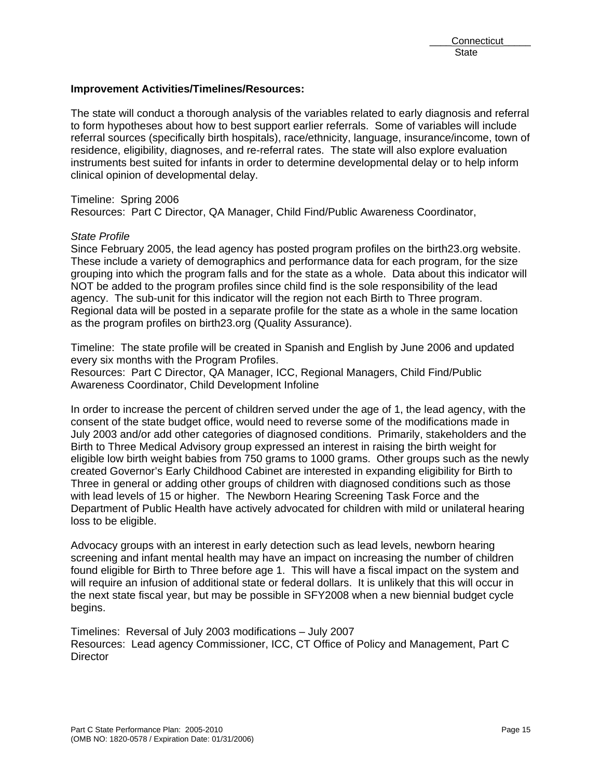#### **Improvement Activities/Timelines/Resources:**

The state will conduct a thorough analysis of the variables related to early diagnosis and referral to form hypotheses about how to best support earlier referrals. Some of variables will include referral sources (specifically birth hospitals), race/ethnicity, language, insurance/income, town of residence, eligibility, diagnoses, and re-referral rates. The state will also explore evaluation instruments best suited for infants in order to determine developmental delay or to help inform clinical opinion of developmental delay.

Timeline: Spring 2006 Resources: Part C Director, QA Manager, Child Find/Public Awareness Coordinator,

#### *State Profile*

Since February 2005, the lead agency has posted program profiles on the birth23.org website. These include a variety of demographics and performance data for each program, for the size grouping into which the program falls and for the state as a whole. Data about this indicator will NOT be added to the program profiles since child find is the sole responsibility of the lead agency. The sub-unit for this indicator will the region not each Birth to Three program. Regional data will be posted in a separate profile for the state as a whole in the same location as the program profiles on birth23.org (Quality Assurance).

Timeline: The state profile will be created in Spanish and English by June 2006 and updated every six months with the Program Profiles.

Resources: Part C Director, QA Manager, ICC, Regional Managers, Child Find/Public Awareness Coordinator, Child Development Infoline

In order to increase the percent of children served under the age of 1, the lead agency, with the consent of the state budget office, would need to reverse some of the modifications made in July 2003 and/or add other categories of diagnosed conditions. Primarily, stakeholders and the Birth to Three Medical Advisory group expressed an interest in raising the birth weight for eligible low birth weight babies from 750 grams to 1000 grams. Other groups such as the newly created Governor's Early Childhood Cabinet are interested in expanding eligibility for Birth to Three in general or adding other groups of children with diagnosed conditions such as those with lead levels of 15 or higher. The Newborn Hearing Screening Task Force and the Department of Public Health have actively advocated for children with mild or unilateral hearing loss to be eligible.

Advocacy groups with an interest in early detection such as lead levels, newborn hearing screening and infant mental health may have an impact on increasing the number of children found eligible for Birth to Three before age 1. This will have a fiscal impact on the system and will require an infusion of additional state or federal dollars. It is unlikely that this will occur in the next state fiscal year, but may be possible in SFY2008 when a new biennial budget cycle begins.

Timelines: Reversal of July 2003 modifications – July 2007 Resources: Lead agency Commissioner, ICC, CT Office of Policy and Management, Part C **Director**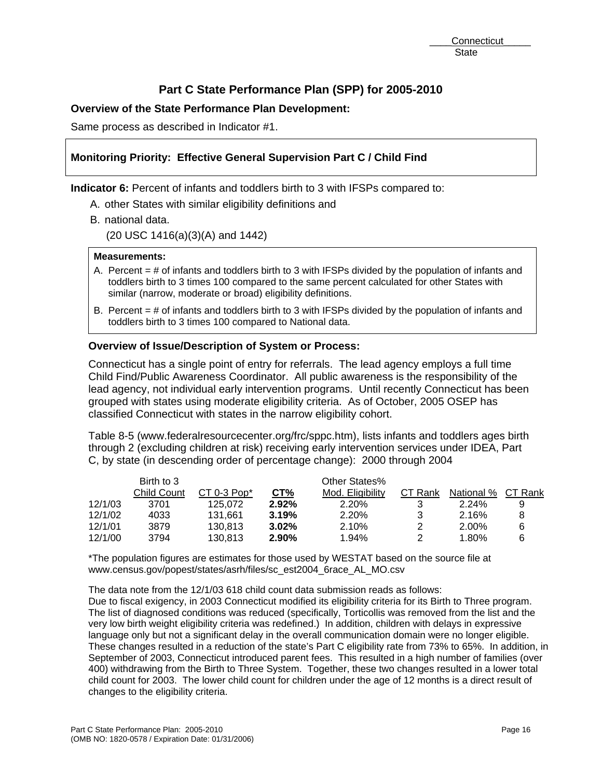# **Overview of the State Performance Plan Development:**

Same process as described in Indicator #1.

# **Monitoring Priority: Effective General Supervision Part C / Child Find**

**Indicator 6:** Percent of infants and toddlers birth to 3 with IFSPs compared to:

- A. other States with similar eligibility definitions and
- B. national data.

(20 USC 1416(a)(3)(A) and 1442)

#### **Measurements:**

- A. Percent = # of infants and toddlers birth to 3 with IFSPs divided by the population of infants and toddlers birth to 3 times 100 compared to the same percent calculated for other States with similar (narrow, moderate or broad) eligibility definitions.
- B. Percent = # of infants and toddlers birth to 3 with IFSPs divided by the population of infants and toddlers birth to 3 times 100 compared to National data.

## **Overview of Issue/Description of System or Process:**

Connecticut has a single point of entry for referrals. The lead agency employs a full time Child Find/Public Awareness Coordinator. All public awareness is the responsibility of the lead agency, not individual early intervention programs. Until recently Connecticut has been grouped with states using moderate eligibility criteria. As of October, 2005 OSEP has classified Connecticut with states in the narrow eligibility cohort.

Table 8-5 (www.federalresourcecenter.org/frc/sppc.htm), lists infants and toddlers ages birth through 2 (excluding children at risk) receiving early intervention services under IDEA, Part C, by state (in descending order of percentage change): 2000 through 2004

|         | Birth to 3         |                           |       | Other States%    |         |            |         |
|---------|--------------------|---------------------------|-------|------------------|---------|------------|---------|
|         | <b>Child Count</b> | $CT 0-3$ Pop <sup>*</sup> | CT%   | Mod. Eligibility | CT Rank | National % | CT Rank |
| 12/1/03 | 3701               | 125.072                   | 2.92% | 2.20%            |         | 2.24%      |         |
| 12/1/02 | 4033               | 131.661                   | 3.19% | 2.20%            | 3       | 2.16%      |         |
| 12/1/01 | 3879               | 130.813                   | 3.02% | 2.10%            | 2       | 2.00%      |         |
| 12/1/00 | 3794               | 130.813                   | 2.90% | 1.94%            |         | 1.80%      |         |

\*The population figures are estimates for those used by WESTAT based on the source file at www.census.gov/popest/states/asrh/files/sc\_est2004\_6race\_AL\_MO.csv

The data note from the 12/1/03 618 child count data submission reads as follows:

Due to fiscal exigency, in 2003 Connecticut modified its eligibility criteria for its Birth to Three program. The list of diagnosed conditions was reduced (specifically, Torticollis was removed from the list and the very low birth weight eligibility criteria was redefined.) In addition, children with delays in expressive language only but not a significant delay in the overall communication domain were no longer eligible. These changes resulted in a reduction of the state's Part C eligibility rate from 73% to 65%. In addition, in September of 2003, Connecticut introduced parent fees. This resulted in a high number of families (over 400) withdrawing from the Birth to Three System. Together, these two changes resulted in a lower total child count for 2003. The lower child count for children under the age of 12 months is a direct result of changes to the eligibility criteria.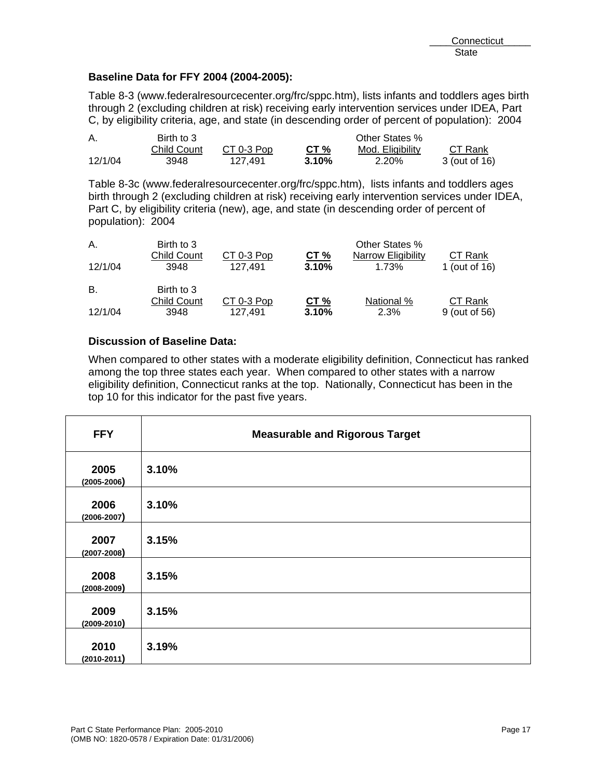## **Baseline Data for FFY 2004 (2004-2005):**

Table 8-3 (www.federalresourcecenter.org/frc/sppc.htm), lists infants and toddlers ages birth through 2 (excluding children at risk) receiving early intervention services under IDEA, Part C, by eligibility criteria, age, and state (in descending order of percent of population): 2004

| А.      | Birth to 3  |            | Other States % |                  |               |  |
|---------|-------------|------------|----------------|------------------|---------------|--|
|         | Child Count | CT 0-3 Pop | CT %           | Mod. Eligibility | CT Rank       |  |
| 12/1/04 | 3948        | 127.491    | 3.10%          | 2.20%            | 3 (out of 16) |  |

Table 8-3c (www.federalresourcecenter.org/frc/sppc.htm), lists infants and toddlers ages birth through 2 (excluding children at risk) receiving early intervention services under IDEA, Part C, by eligibility criteria (new), age, and state (in descending order of percent of population): 2004

| Α.<br>12/1/04 | Birth to 3<br><b>Child Count</b><br>3948 | CT 0-3 Pop<br>127.491 | CT $%$<br>3.10% | Other States %<br>Narrow Eligibility<br>1.73% | CT Rank<br>1 (out of 16) |
|---------------|------------------------------------------|-----------------------|-----------------|-----------------------------------------------|--------------------------|
| В.            | Birth to 3                               |                       |                 |                                               |                          |
| 12/1/04       | <b>Child Count</b><br>3948               | CT 0-3 Pop<br>127.491 | CT%<br>3.10%    | National %<br>2.3%                            | CT Rank<br>9 (out of 56) |

## **Discussion of Baseline Data:**

When compared to other states with a moderate eligibility definition, Connecticut has ranked among the top three states each year. When compared to other states with a narrow eligibility definition, Connecticut ranks at the top. Nationally, Connecticut has been in the top 10 for this indicator for the past five years.

| <b>FFY</b>              | <b>Measurable and Rigorous Target</b> |
|-------------------------|---------------------------------------|
| 2005<br>$(2005 - 2006)$ | 3.10%                                 |
| 2006<br>$(2006 - 2007)$ | 3.10%                                 |
| 2007<br>$(2007 - 2008)$ | 3.15%                                 |
| 2008<br>$(2008 - 2009)$ | 3.15%                                 |
| 2009<br>$(2009 - 2010)$ | 3.15%                                 |
| 2010<br>$(2010 - 2011)$ | 3.19%                                 |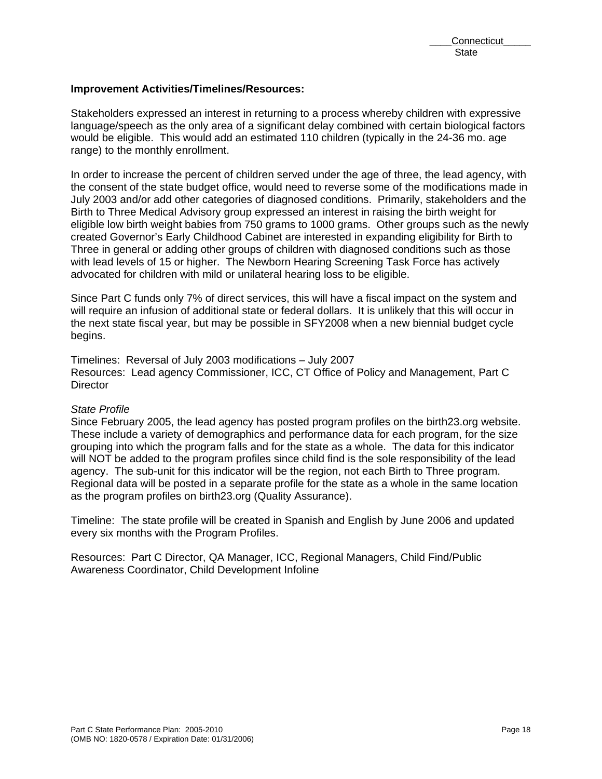#### **Improvement Activities/Timelines/Resources:**

Stakeholders expressed an interest in returning to a process whereby children with expressive language/speech as the only area of a significant delay combined with certain biological factors would be eligible. This would add an estimated 110 children (typically in the 24-36 mo. age range) to the monthly enrollment.

In order to increase the percent of children served under the age of three, the lead agency, with the consent of the state budget office, would need to reverse some of the modifications made in July 2003 and/or add other categories of diagnosed conditions. Primarily, stakeholders and the Birth to Three Medical Advisory group expressed an interest in raising the birth weight for eligible low birth weight babies from 750 grams to 1000 grams. Other groups such as the newly created Governor's Early Childhood Cabinet are interested in expanding eligibility for Birth to Three in general or adding other groups of children with diagnosed conditions such as those with lead levels of 15 or higher. The Newborn Hearing Screening Task Force has actively advocated for children with mild or unilateral hearing loss to be eligible.

Since Part C funds only 7% of direct services, this will have a fiscal impact on the system and will require an infusion of additional state or federal dollars. It is unlikely that this will occur in the next state fiscal year, but may be possible in SFY2008 when a new biennial budget cycle begins.

Timelines: Reversal of July 2003 modifications – July 2007 Resources: Lead agency Commissioner, ICC, CT Office of Policy and Management, Part C **Director** 

## *State Profile*

Since February 2005, the lead agency has posted program profiles on the birth23.org website. These include a variety of demographics and performance data for each program, for the size grouping into which the program falls and for the state as a whole. The data for this indicator will NOT be added to the program profiles since child find is the sole responsibility of the lead agency. The sub-unit for this indicator will be the region, not each Birth to Three program. Regional data will be posted in a separate profile for the state as a whole in the same location as the program profiles on birth23.org (Quality Assurance).

Timeline: The state profile will be created in Spanish and English by June 2006 and updated every six months with the Program Profiles.

Resources: Part C Director, QA Manager, ICC, Regional Managers, Child Find/Public Awareness Coordinator, Child Development Infoline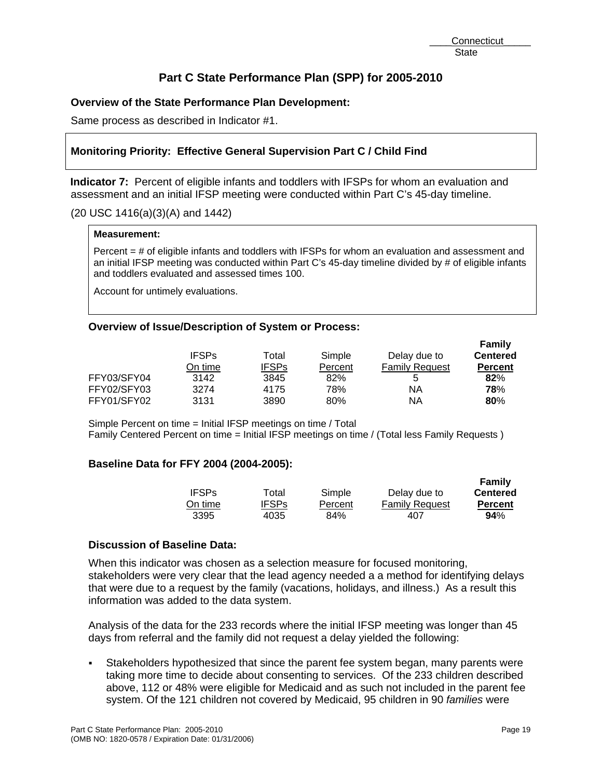# **Overview of the State Performance Plan Development:**

Same process as described in Indicator #1.

# **Monitoring Priority: Effective General Supervision Part C / Child Find**

**Indicator 7:** Percent of eligible infants and toddlers with IFSPs for whom an evaluation and assessment and an initial IFSP meeting were conducted within Part C's 45-day timeline.

#### (20 USC 1416(a)(3)(A) and 1442)

#### **Measurement:**

Percent = # of eligible infants and toddlers with IFSPs for whom an evaluation and assessment and an initial IFSP meeting was conducted within Part C's 45-day timeline divided by # of eligible infants and toddlers evaluated and assessed times 100.

Account for untimely evaluations.

#### **Overview of Issue/Description of System or Process:**

|             |              |              |         |                       | Family          |
|-------------|--------------|--------------|---------|-----------------------|-----------------|
|             | <b>IFSPs</b> | Total        | Simple  | Delay due to          | <b>Centered</b> |
|             | On time      | <b>IFSPs</b> | Percent | <b>Family Request</b> | <b>Percent</b>  |
| FFY03/SFY04 | 3142         | 3845         | 82%     | 5                     | 82%             |
| FFY02/SFY03 | 3274         | 4175         | 78%     | ΝA                    | 78%             |
| FFY01/SFY02 | 3131         | 3890         | 80%     | ΝA                    | 80%             |

Simple Percent on time = Initial IFSP meetings on time / Total Family Centered Percent on time = Initial IFSP meetings on time / (Total less Family Requests )

## **Baseline Data for FFY 2004 (2004-2005):**

|              |              |         |                       | <b>Family</b>   |
|--------------|--------------|---------|-----------------------|-----------------|
| <b>IFSPs</b> | Total        | Simple  | Delay due to          | <b>Centered</b> |
| On time.     | <b>IFSPs</b> | Percent | <b>Family Request</b> | <b>Percent</b>  |
| 3395         | 4035         | 84%     | 407                   | $94\%$          |

#### **Discussion of Baseline Data:**

When this indicator was chosen as a selection measure for focused monitoring, stakeholders were very clear that the lead agency needed a a method for identifying delays that were due to a request by the family (vacations, holidays, and illness.) As a result this information was added to the data system.

Analysis of the data for the 233 records where the initial IFSP meeting was longer than 45 days from referral and the family did not request a delay yielded the following:

 Stakeholders hypothesized that since the parent fee system began, many parents were taking more time to decide about consenting to services. Of the 233 children described above, 112 or 48% were eligible for Medicaid and as such not included in the parent fee system. Of the 121 children not covered by Medicaid, 95 children in 90 *families* were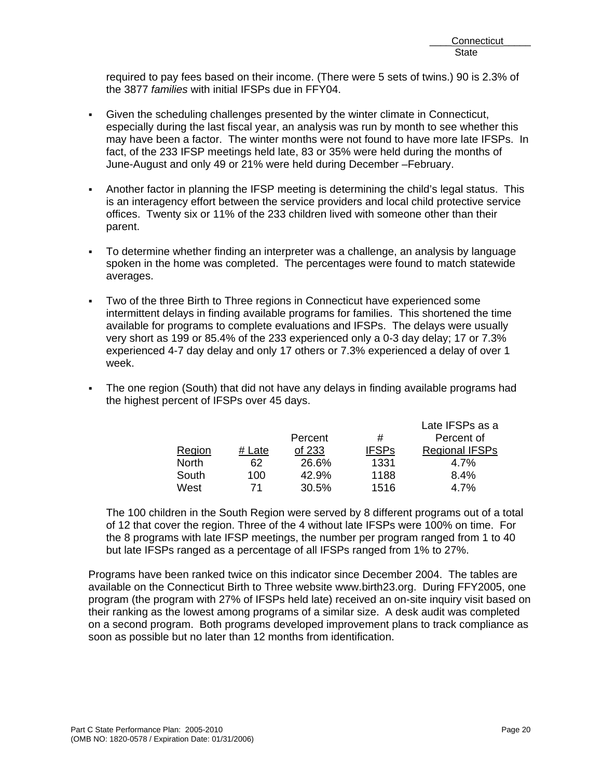required to pay fees based on their income. (There were 5 sets of twins.) 90 is 2.3% of the 3877 *families* with initial IFSPs due in FFY04.

- Given the scheduling challenges presented by the winter climate in Connecticut, especially during the last fiscal year, an analysis was run by month to see whether this may have been a factor. The winter months were not found to have more late IFSPs. In fact, of the 233 IFSP meetings held late, 83 or 35% were held during the months of June-August and only 49 or 21% were held during December –February.
- Another factor in planning the IFSP meeting is determining the child's legal status. This is an interagency effort between the service providers and local child protective service offices. Twenty six or 11% of the 233 children lived with someone other than their parent.
- To determine whether finding an interpreter was a challenge, an analysis by language spoken in the home was completed. The percentages were found to match statewide averages.
- Two of the three Birth to Three regions in Connecticut have experienced some intermittent delays in finding available programs for families. This shortened the time available for programs to complete evaluations and IFSPs. The delays were usually very short as 199 or 85.4% of the 233 experienced only a 0-3 day delay; 17 or 7.3% experienced 4-7 day delay and only 17 others or 7.3% experienced a delay of over 1 week.
- The one region (South) that did not have any delays in finding available programs had the highest percent of IFSPs over 45 days.

|              |        |         |              | Late IFSPs as a       |
|--------------|--------|---------|--------------|-----------------------|
|              |        | Percent | #            | Percent of            |
| Region       | # Late | of 233  | <b>IFSPs</b> | <b>Regional IFSPs</b> |
| <b>North</b> | 62     | 26.6%   | 1331         | 4.7%                  |
| South        | 100    | 42.9%   | 1188         | 8.4%                  |
| West         | 71     | 30.5%   | 1516         | 4.7%                  |

The 100 children in the South Region were served by 8 different programs out of a total of 12 that cover the region. Three of the 4 without late IFSPs were 100% on time. For the 8 programs with late IFSP meetings, the number per program ranged from 1 to 40 but late IFSPs ranged as a percentage of all IFSPs ranged from 1% to 27%.

Programs have been ranked twice on this indicator since December 2004. The tables are available on the Connecticut Birth to Three website www.birth23.org. During FFY2005, one program (the program with 27% of IFSPs held late) received an on-site inquiry visit based on their ranking as the lowest among programs of a similar size. A desk audit was completed on a second program. Both programs developed improvement plans to track compliance as soon as possible but no later than 12 months from identification.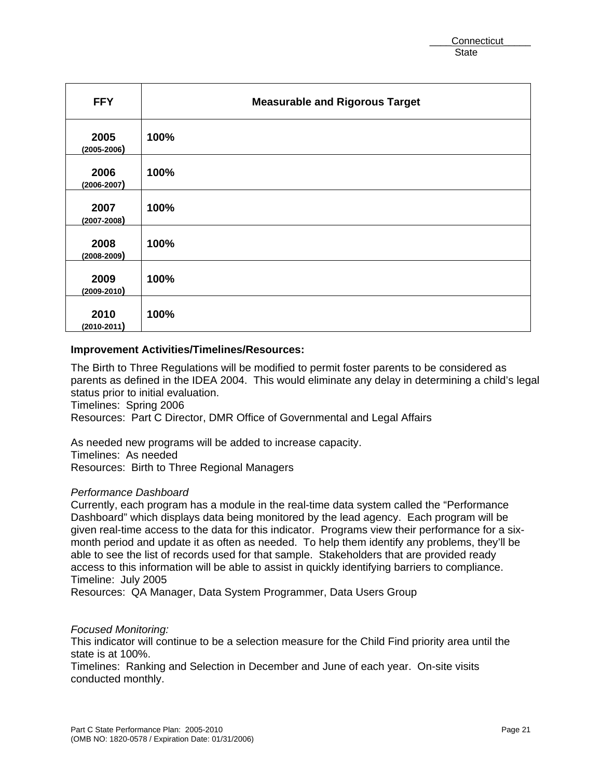| <b>FFY</b>              | <b>Measurable and Rigorous Target</b> |
|-------------------------|---------------------------------------|
| 2005<br>$(2005 - 2006)$ | 100%                                  |
| 2006<br>$(2006 - 2007)$ | 100%                                  |
| 2007<br>$(2007 - 2008)$ | 100%                                  |
| 2008<br>$(2008 - 2009)$ | 100%                                  |
| 2009<br>$(2009 - 2010)$ | 100%                                  |
| 2010<br>$(2010 - 2011)$ | 100%                                  |

#### **Improvement Activities/Timelines/Resources:**

The Birth to Three Regulations will be modified to permit foster parents to be considered as parents as defined in the IDEA 2004. This would eliminate any delay in determining a child's legal status prior to initial evaluation.

Timelines: Spring 2006

Resources: Part C Director, DMR Office of Governmental and Legal Affairs

As needed new programs will be added to increase capacity. Timelines: As needed Resources: Birth to Three Regional Managers

#### *Performance Dashboard*

Currently, each program has a module in the real-time data system called the "Performance Dashboard" which displays data being monitored by the lead agency. Each program will be given real-time access to the data for this indicator. Programs view their performance for a sixmonth period and update it as often as needed. To help them identify any problems, they'll be able to see the list of records used for that sample. Stakeholders that are provided ready access to this information will be able to assist in quickly identifying barriers to compliance. Timeline: July 2005

Resources: QA Manager, Data System Programmer, Data Users Group

#### *Focused Monitoring:*

This indicator will continue to be a selection measure for the Child Find priority area until the state is at 100%.

Timelines: Ranking and Selection in December and June of each year. On-site visits conducted monthly.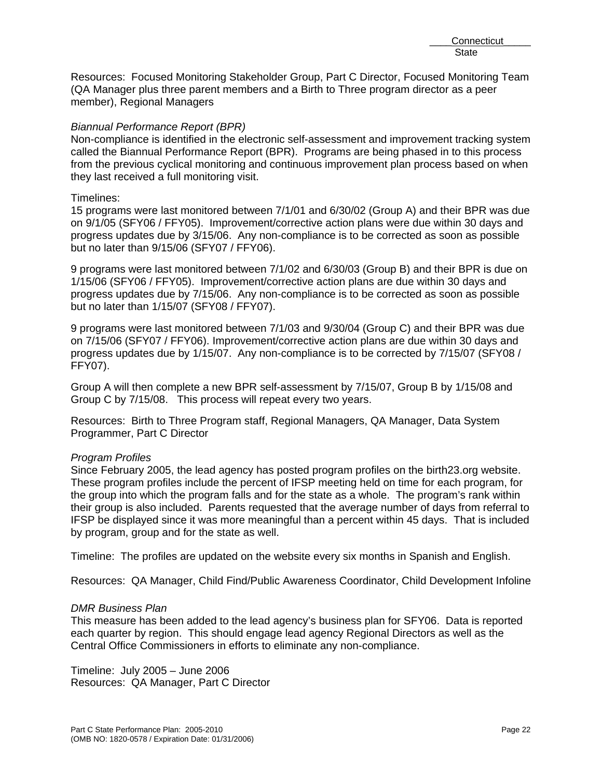Resources: Focused Monitoring Stakeholder Group, Part C Director, Focused Monitoring Team (QA Manager plus three parent members and a Birth to Three program director as a peer member), Regional Managers

#### *Biannual Performance Report (BPR)*

Non-compliance is identified in the electronic self-assessment and improvement tracking system called the Biannual Performance Report (BPR). Programs are being phased in to this process from the previous cyclical monitoring and continuous improvement plan process based on when they last received a full monitoring visit.

#### Timelines:

15 programs were last monitored between 7/1/01 and 6/30/02 (Group A) and their BPR was due on 9/1/05 (SFY06 / FFY05). Improvement/corrective action plans were due within 30 days and progress updates due by 3/15/06. Any non-compliance is to be corrected as soon as possible but no later than 9/15/06 (SFY07 / FFY06).

9 programs were last monitored between 7/1/02 and 6/30/03 (Group B) and their BPR is due on 1/15/06 (SFY06 / FFY05). Improvement/corrective action plans are due within 30 days and progress updates due by 7/15/06. Any non-compliance is to be corrected as soon as possible but no later than 1/15/07 (SFY08 / FFY07).

9 programs were last monitored between 7/1/03 and 9/30/04 (Group C) and their BPR was due on 7/15/06 (SFY07 / FFY06). Improvement/corrective action plans are due within 30 days and progress updates due by 1/15/07. Any non-compliance is to be corrected by 7/15/07 (SFY08 / FFY07).

Group A will then complete a new BPR self-assessment by 7/15/07, Group B by 1/15/08 and Group C by 7/15/08. This process will repeat every two years.

Resources: Birth to Three Program staff, Regional Managers, QA Manager, Data System Programmer, Part C Director

## *Program Profiles*

Since February 2005, the lead agency has posted program profiles on the birth23.org website. These program profiles include the percent of IFSP meeting held on time for each program, for the group into which the program falls and for the state as a whole. The program's rank within their group is also included. Parents requested that the average number of days from referral to IFSP be displayed since it was more meaningful than a percent within 45 days. That is included by program, group and for the state as well.

Timeline: The profiles are updated on the website every six months in Spanish and English.

Resources: QA Manager, Child Find/Public Awareness Coordinator, Child Development Infoline

#### *DMR Business Plan*

This measure has been added to the lead agency's business plan for SFY06. Data is reported each quarter by region. This should engage lead agency Regional Directors as well as the Central Office Commissioners in efforts to eliminate any non-compliance.

Timeline: July 2005 – June 2006 Resources: QA Manager, Part C Director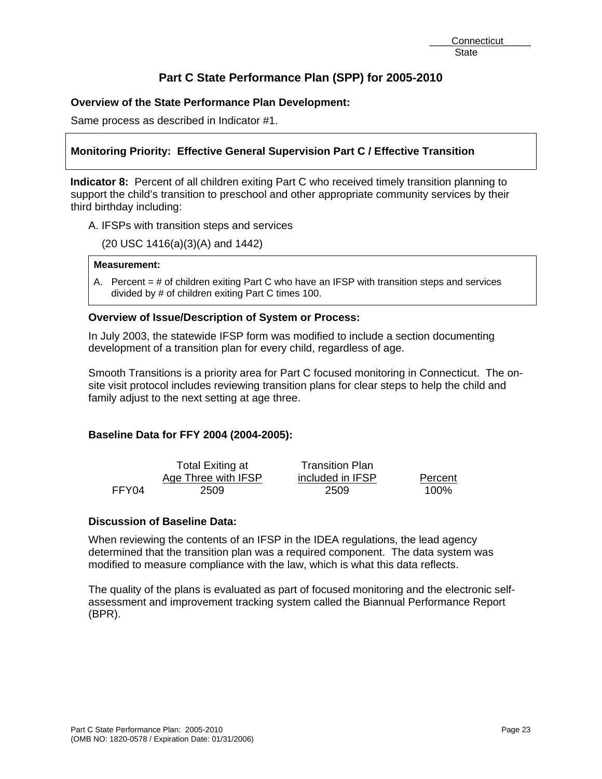# **Overview of the State Performance Plan Development:**

Same process as described in Indicator #1.

# **Monitoring Priority: Effective General Supervision Part C / Effective Transition**

**Indicator 8:** Percent of all children exiting Part C who received timely transition planning to support the child's transition to preschool and other appropriate community services by their third birthday including:

A. IFSPs with transition steps and services

(20 USC 1416(a)(3)(A) and 1442)

#### **Measurement:**

A. Percent = # of children exiting Part C who have an IFSP with transition steps and services divided by # of children exiting Part C times 100.

## **Overview of Issue/Description of System or Process:**

In July 2003, the statewide IFSP form was modified to include a section documenting development of a transition plan for every child, regardless of age.

Smooth Transitions is a priority area for Part C focused monitoring in Connecticut. The onsite visit protocol includes reviewing transition plans for clear steps to help the child and family adjust to the next setting at age three.

## **Baseline Data for FFY 2004 (2004-2005):**

|       | Total Exiting at    | <b>Transition Plan</b> |         |
|-------|---------------------|------------------------|---------|
|       | Age Three with IFSP | included in IFSP       | Percent |
| FFY04 | 2509                | 2509                   | 100%    |

# **Discussion of Baseline Data:**

When reviewing the contents of an IFSP in the IDEA regulations, the lead agency determined that the transition plan was a required component. The data system was modified to measure compliance with the law, which is what this data reflects.

The quality of the plans is evaluated as part of focused monitoring and the electronic selfassessment and improvement tracking system called the Biannual Performance Report (BPR).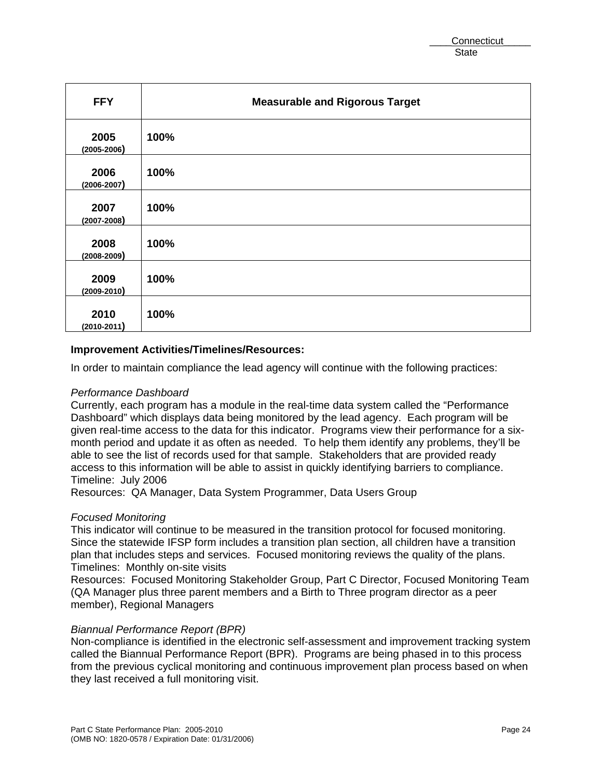| <b>FFY</b>              | <b>Measurable and Rigorous Target</b> |
|-------------------------|---------------------------------------|
| 2005<br>$(2005 - 2006)$ | 100%                                  |
| 2006<br>$(2006 - 2007)$ | 100%                                  |
| 2007<br>$(2007 - 2008)$ | 100%                                  |
| 2008<br>$(2008 - 2009)$ | 100%                                  |
| 2009<br>$(2009 - 2010)$ | 100%                                  |
| 2010<br>$(2010 - 2011)$ | 100%                                  |

#### **Improvement Activities/Timelines/Resources:**

In order to maintain compliance the lead agency will continue with the following practices:

#### *Performance Dashboard*

Currently, each program has a module in the real-time data system called the "Performance Dashboard" which displays data being monitored by the lead agency. Each program will be given real-time access to the data for this indicator. Programs view their performance for a sixmonth period and update it as often as needed. To help them identify any problems, they'll be able to see the list of records used for that sample. Stakeholders that are provided ready access to this information will be able to assist in quickly identifying barriers to compliance. Timeline: July 2006

Resources: QA Manager, Data System Programmer, Data Users Group

#### *Focused Monitoring*

This indicator will continue to be measured in the transition protocol for focused monitoring. Since the statewide IFSP form includes a transition plan section, all children have a transition plan that includes steps and services. Focused monitoring reviews the quality of the plans. Timelines: Monthly on-site visits

Resources: Focused Monitoring Stakeholder Group, Part C Director, Focused Monitoring Team (QA Manager plus three parent members and a Birth to Three program director as a peer member), Regional Managers

#### *Biannual Performance Report (BPR)*

Non-compliance is identified in the electronic self-assessment and improvement tracking system called the Biannual Performance Report (BPR). Programs are being phased in to this process from the previous cyclical monitoring and continuous improvement plan process based on when they last received a full monitoring visit.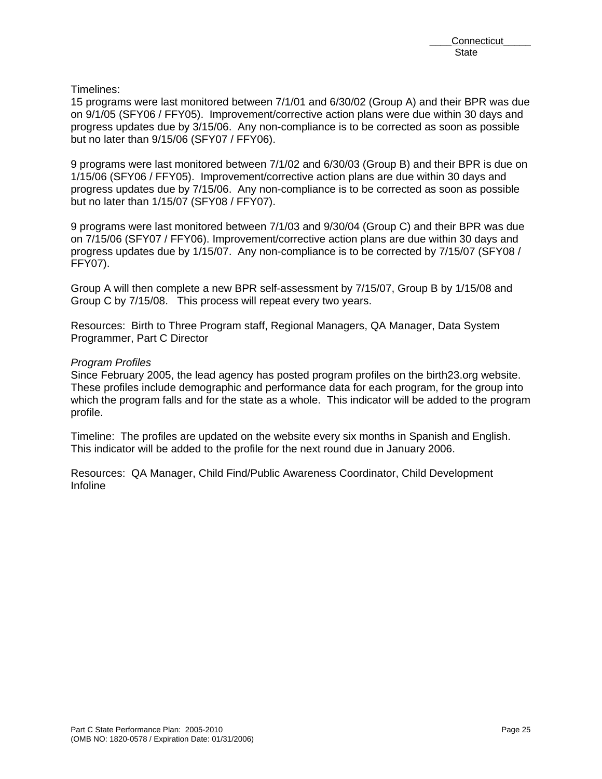Timelines:

15 programs were last monitored between 7/1/01 and 6/30/02 (Group A) and their BPR was due on 9/1/05 (SFY06 / FFY05). Improvement/corrective action plans were due within 30 days and progress updates due by 3/15/06. Any non-compliance is to be corrected as soon as possible but no later than 9/15/06 (SFY07 / FFY06).

9 programs were last monitored between 7/1/02 and 6/30/03 (Group B) and their BPR is due on 1/15/06 (SFY06 / FFY05). Improvement/corrective action plans are due within 30 days and progress updates due by 7/15/06. Any non-compliance is to be corrected as soon as possible but no later than 1/15/07 (SFY08 / FFY07).

9 programs were last monitored between 7/1/03 and 9/30/04 (Group C) and their BPR was due on 7/15/06 (SFY07 / FFY06). Improvement/corrective action plans are due within 30 days and progress updates due by 1/15/07. Any non-compliance is to be corrected by 7/15/07 (SFY08 / FFY07).

Group A will then complete a new BPR self-assessment by 7/15/07, Group B by 1/15/08 and Group C by 7/15/08. This process will repeat every two years.

Resources: Birth to Three Program staff, Regional Managers, QA Manager, Data System Programmer, Part C Director

## *Program Profiles*

Since February 2005, the lead agency has posted program profiles on the birth23.org website. These profiles include demographic and performance data for each program, for the group into which the program falls and for the state as a whole. This indicator will be added to the program profile.

Timeline: The profiles are updated on the website every six months in Spanish and English. This indicator will be added to the profile for the next round due in January 2006.

Resources: QA Manager, Child Find/Public Awareness Coordinator, Child Development Infoline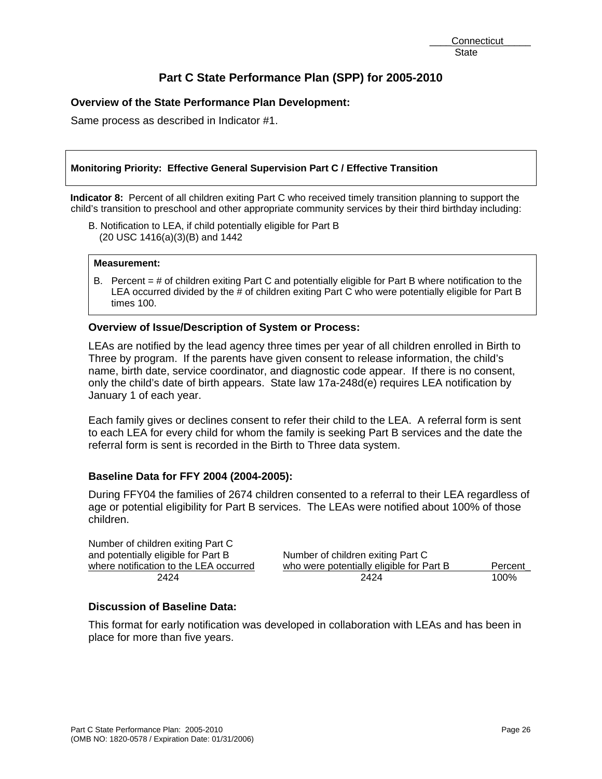# **Overview of the State Performance Plan Development:**

Same process as described in Indicator #1.

#### **Monitoring Priority: Effective General Supervision Part C / Effective Transition**

**Indicator 8:** Percent of all children exiting Part C who received timely transition planning to support the child's transition to preschool and other appropriate community services by their third birthday including:

B. Notification to LEA, if child potentially eligible for Part B (20 USC 1416(a)(3)(B) and 1442

#### **Measurement:**

B. Percent = # of children exiting Part C and potentially eligible for Part B where notification to the LEA occurred divided by the # of children exiting Part C who were potentially eligible for Part B times 100.

#### **Overview of Issue/Description of System or Process:**

LEAs are notified by the lead agency three times per year of all children enrolled in Birth to Three by program. If the parents have given consent to release information, the child's name, birth date, service coordinator, and diagnostic code appear. If there is no consent, only the child's date of birth appears. State law 17a-248d(e) requires LEA notification by January 1 of each year.

Each family gives or declines consent to refer their child to the LEA. A referral form is sent to each LEA for every child for whom the family is seeking Part B services and the date the referral form is sent is recorded in the Birth to Three data system.

## **Baseline Data for FFY 2004 (2004-2005):**

During FFY04 the families of 2674 children consented to a referral to their LEA regardless of age or potential eligibility for Part B services. The LEAs were notified about 100% of those children.

| Number of children exiting Part C      |                                          |         |
|----------------------------------------|------------------------------------------|---------|
| and potentially eligible for Part B    | Number of children exiting Part C        |         |
| where notification to the LEA occurred | who were potentially eligible for Part B | Percent |
| 2424                                   | 2424                                     | 100%    |

# **Discussion of Baseline Data:**

This format for early notification was developed in collaboration with LEAs and has been in place for more than five years.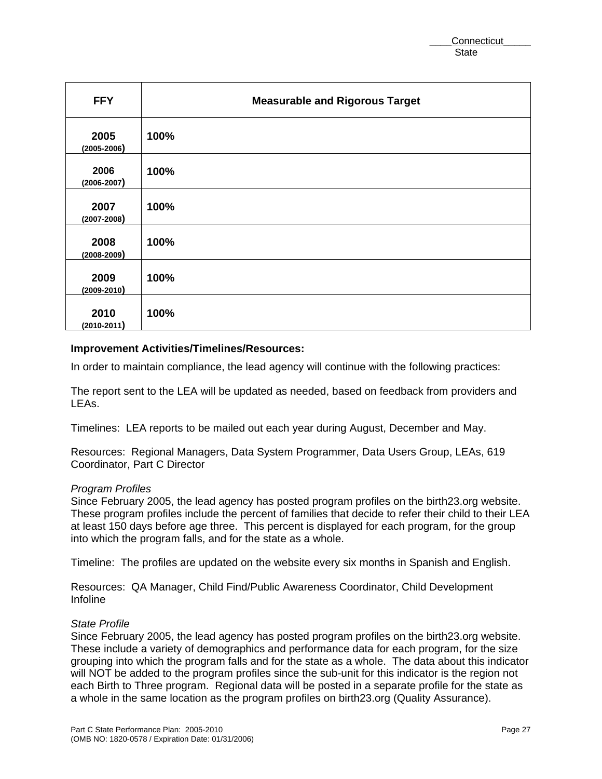| <b>FFY</b>              | <b>Measurable and Rigorous Target</b> |
|-------------------------|---------------------------------------|
| 2005<br>$(2005 - 2006)$ | 100%                                  |
| 2006<br>$(2006 - 2007)$ | 100%                                  |
| 2007<br>$(2007 - 2008)$ | 100%                                  |
| 2008<br>$(2008 - 2009)$ | 100%                                  |
| 2009<br>$(2009 - 2010)$ | 100%                                  |
| 2010<br>$(2010 - 2011)$ | 100%                                  |

#### **Improvement Activities/Timelines/Resources:**

In order to maintain compliance, the lead agency will continue with the following practices:

The report sent to the LEA will be updated as needed, based on feedback from providers and LEAs.

Timelines: LEA reports to be mailed out each year during August, December and May.

Resources: Regional Managers, Data System Programmer, Data Users Group, LEAs, 619 Coordinator, Part C Director

#### *Program Profiles*

Since February 2005, the lead agency has posted program profiles on the birth23.org website. These program profiles include the percent of families that decide to refer their child to their LEA at least 150 days before age three. This percent is displayed for each program, for the group into which the program falls, and for the state as a whole.

Timeline: The profiles are updated on the website every six months in Spanish and English.

Resources: QA Manager, Child Find/Public Awareness Coordinator, Child Development Infoline

#### *State Profile*

Since February 2005, the lead agency has posted program profiles on the birth23.org website. These include a variety of demographics and performance data for each program, for the size grouping into which the program falls and for the state as a whole. The data about this indicator will NOT be added to the program profiles since the sub-unit for this indicator is the region not each Birth to Three program. Regional data will be posted in a separate profile for the state as a whole in the same location as the program profiles on birth23.org (Quality Assurance).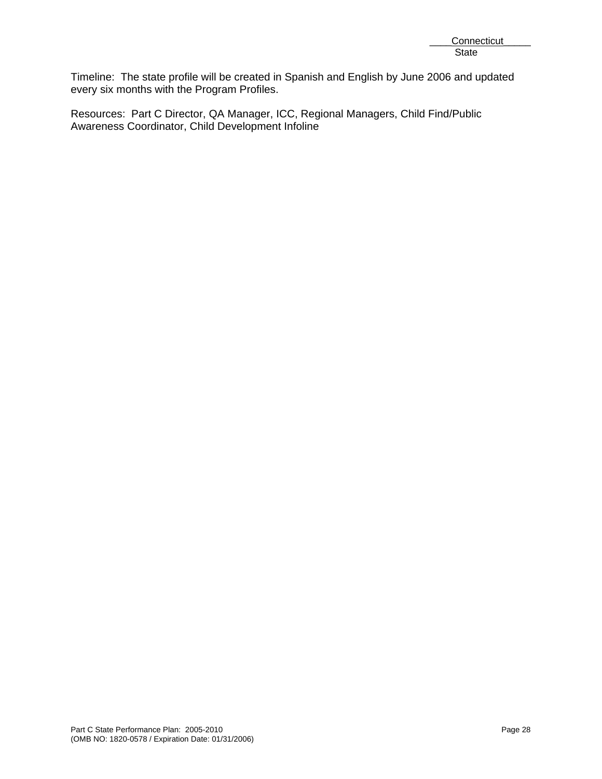Timeline: The state profile will be created in Spanish and English by June 2006 and updated every six months with the Program Profiles.

Resources: Part C Director, QA Manager, ICC, Regional Managers, Child Find/Public Awareness Coordinator, Child Development Infoline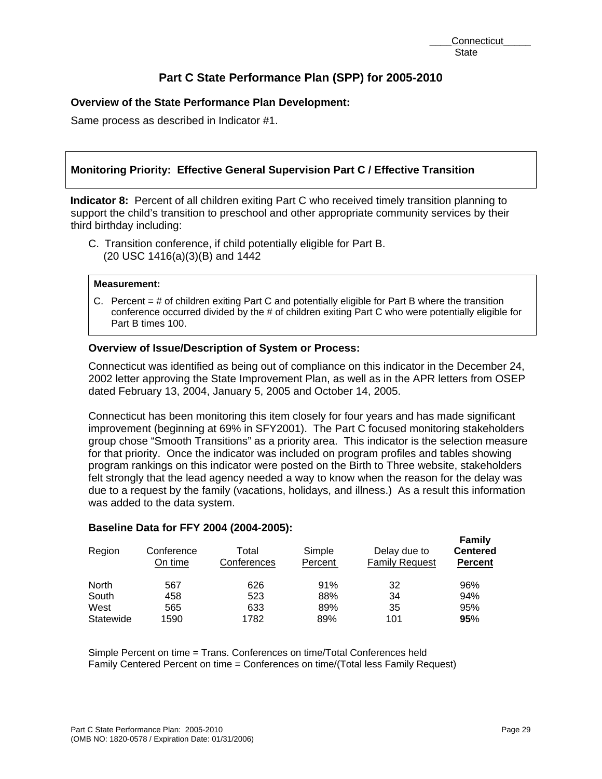# **Overview of the State Performance Plan Development:**

Same process as described in Indicator #1.

# **Monitoring Priority: Effective General Supervision Part C / Effective Transition**

**Indicator 8:** Percent of all children exiting Part C who received timely transition planning to support the child's transition to preschool and other appropriate community services by their third birthday including:

C. Transition conference, if child potentially eligible for Part B. (20 USC 1416(a)(3)(B) and 1442

#### **Measurement:**

C. Percent = # of children exiting Part C and potentially eligible for Part B where the transition conference occurred divided by the # of children exiting Part C who were potentially eligible for Part B times 100.

# **Overview of Issue/Description of System or Process:**

Connecticut was identified as being out of compliance on this indicator in the December 24, 2002 letter approving the State Improvement Plan, as well as in the APR letters from OSEP dated February 13, 2004, January 5, 2005 and October 14, 2005.

Connecticut has been monitoring this item closely for four years and has made significant improvement (beginning at 69% in SFY2001). The Part C focused monitoring stakeholders group chose "Smooth Transitions" as a priority area. This indicator is the selection measure for that priority. Once the indicator was included on program profiles and tables showing program rankings on this indicator were posted on the Birth to Three website, stakeholders felt strongly that the lead agency needed a way to know when the reason for the delay was due to a request by the family (vacations, holidays, and illness.) As a result this information was added to the data system.

## **Baseline Data for FFY 2004 (2004-2005):**

| Region    | Conference<br>On time | Total<br>Conferences | Simple<br>Percent | Delay due to<br><b>Family Request</b> | Family<br><b>Centered</b><br><b>Percent</b> |
|-----------|-----------------------|----------------------|-------------------|---------------------------------------|---------------------------------------------|
| North     | 567                   | 626                  | 91%               | 32                                    | 96%                                         |
| South     | 458                   | 523                  | 88%               | 34                                    | 94%                                         |
| West      | 565                   | 633                  | 89%               | 35                                    | 95%                                         |
| Statewide | 1590                  | 1782                 | 89%               | 101                                   | 95%                                         |

Simple Percent on time = Trans. Conferences on time/Total Conferences held Family Centered Percent on time = Conferences on time/(Total less Family Request)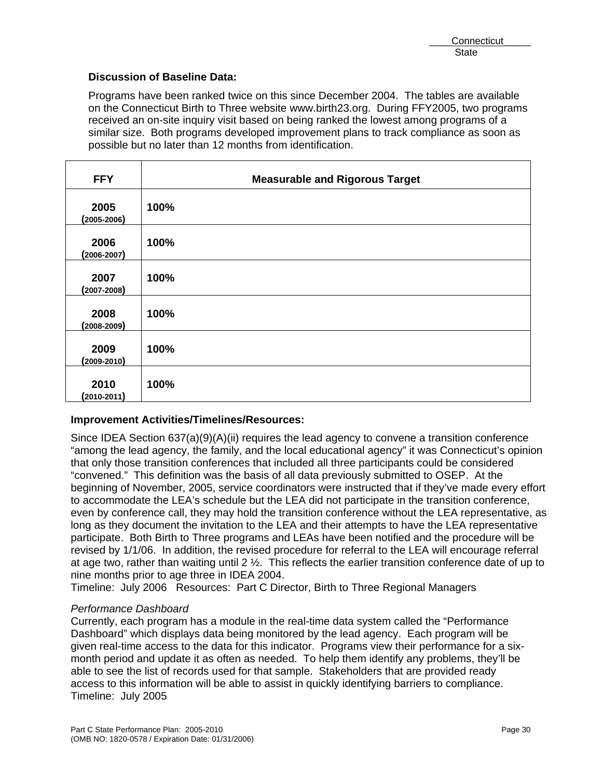## **Discussion of Baseline Data:**

Programs have been ranked twice on this since December 2004. The tables are available on the Connecticut Birth to Three website www.birth23.org. During FFY2005, two programs received an on-site inquiry visit based on being ranked the lowest among programs of a similar size. Both programs developed improvement plans to track compliance as soon as possible but no later than 12 months from identification.

| <b>FFY</b>              | <b>Measurable and Rigorous Target</b> |
|-------------------------|---------------------------------------|
| 2005<br>$(2005 - 2006)$ | 100%                                  |
| 2006<br>$(2006 - 2007)$ | 100%                                  |
| 2007<br>$(2007 - 2008)$ | 100%                                  |
| 2008<br>$(2008 - 2009)$ | 100%                                  |
| 2009<br>$(2009 - 2010)$ | 100%                                  |
| 2010<br>$(2010 - 2011)$ | 100%                                  |

# **Improvement Activities/Timelines/Resources:**

Since IDEA Section  $637(a)(9)(A)(ii)$  requires the lead agency to convene a transition conference "among the lead agency, the family, and the local educational agency" it was Connecticut's opinion that only those transition conferences that included all three participants could be considered "convened." This definition was the basis of all data previously submitted to OSEP. At the beginning of November, 2005, service coordinators were instructed that if they've made every effort to accommodate the LEA's schedule but the LEA did not participate in the transition conference, even by conference call, they may hold the transition conference without the LEA representative, as long as they document the invitation to the LEA and their attempts to have the LEA representative participate. Both Birth to Three programs and LEAs have been notified and the procedure will be revised by 1/1/06. In addition, the revised procedure for referral to the LEA will encourage referral at age two, rather than waiting until 2 ½. This reflects the earlier transition conference date of up to nine months prior to age three in IDEA 2004.

Timeline: July 2006 Resources: Part C Director, Birth to Three Regional Managers

## *Performance Dashboard*

Currently, each program has a module in the real-time data system called the "Performance Dashboard" which displays data being monitored by the lead agency. Each program will be given real-time access to the data for this indicator. Programs view their performance for a sixmonth period and update it as often as needed. To help them identify any problems, they'll be able to see the list of records used for that sample. Stakeholders that are provided ready access to this information will be able to assist in quickly identifying barriers to compliance. Timeline: July 2005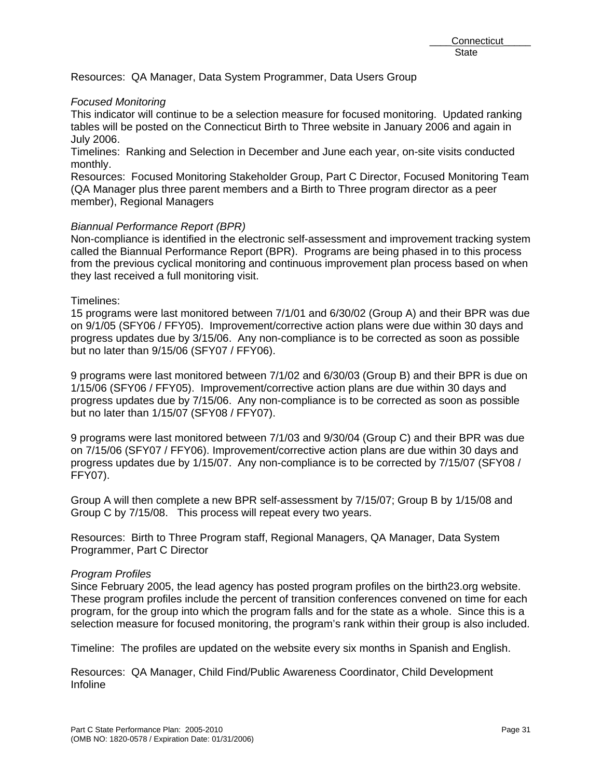Resources: QA Manager, Data System Programmer, Data Users Group

## *Focused Monitoring*

This indicator will continue to be a selection measure for focused monitoring. Updated ranking tables will be posted on the Connecticut Birth to Three website in January 2006 and again in July 2006.

Timelines: Ranking and Selection in December and June each year, on-site visits conducted monthly.

Resources: Focused Monitoring Stakeholder Group, Part C Director, Focused Monitoring Team (QA Manager plus three parent members and a Birth to Three program director as a peer member), Regional Managers

## *Biannual Performance Report (BPR)*

Non-compliance is identified in the electronic self-assessment and improvement tracking system called the Biannual Performance Report (BPR). Programs are being phased in to this process from the previous cyclical monitoring and continuous improvement plan process based on when they last received a full monitoring visit.

# Timelines:

15 programs were last monitored between 7/1/01 and 6/30/02 (Group A) and their BPR was due on 9/1/05 (SFY06 / FFY05). Improvement/corrective action plans were due within 30 days and progress updates due by 3/15/06. Any non-compliance is to be corrected as soon as possible but no later than 9/15/06 (SFY07 / FFY06).

9 programs were last monitored between 7/1/02 and 6/30/03 (Group B) and their BPR is due on 1/15/06 (SFY06 / FFY05). Improvement/corrective action plans are due within 30 days and progress updates due by 7/15/06. Any non-compliance is to be corrected as soon as possible but no later than 1/15/07 (SFY08 / FFY07).

9 programs were last monitored between 7/1/03 and 9/30/04 (Group C) and their BPR was due on 7/15/06 (SFY07 / FFY06). Improvement/corrective action plans are due within 30 days and progress updates due by 1/15/07. Any non-compliance is to be corrected by 7/15/07 (SFY08 / FFY07).

Group A will then complete a new BPR self-assessment by 7/15/07; Group B by 1/15/08 and Group C by 7/15/08. This process will repeat every two years.

Resources: Birth to Three Program staff, Regional Managers, QA Manager, Data System Programmer, Part C Director

## *Program Profiles*

Since February 2005, the lead agency has posted program profiles on the birth23.org website. These program profiles include the percent of transition conferences convened on time for each program, for the group into which the program falls and for the state as a whole. Since this is a selection measure for focused monitoring, the program's rank within their group is also included.

Timeline: The profiles are updated on the website every six months in Spanish and English.

Resources: QA Manager, Child Find/Public Awareness Coordinator, Child Development Infoline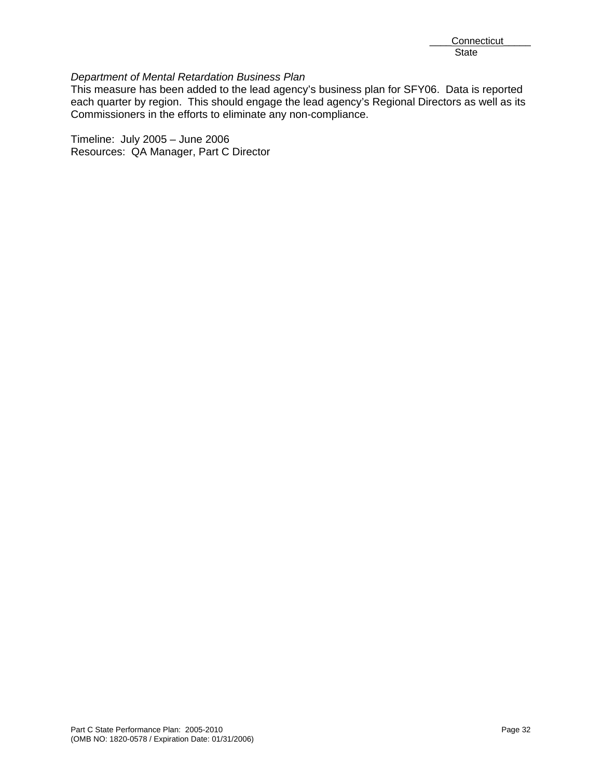## *Department of Mental Retardation Business Plan*

This measure has been added to the lead agency's business plan for SFY06. Data is reported each quarter by region. This should engage the lead agency's Regional Directors as well as its Commissioners in the efforts to eliminate any non-compliance.

Timeline: July 2005 – June 2006 Resources: QA Manager, Part C Director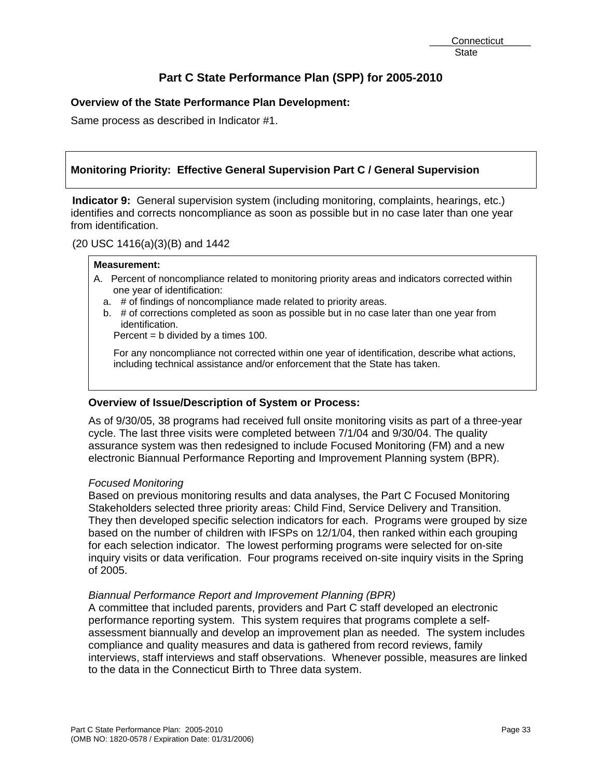# **Overview of the State Performance Plan Development:**

Same process as described in Indicator #1.

# **Monitoring Priority: Effective General Supervision Part C / General Supervision**

**Indicator 9:** General supervision system (including monitoring, complaints, hearings, etc.) identifies and corrects noncompliance as soon as possible but in no case later than one year from identification.

(20 USC 1416(a)(3)(B) and 1442

#### **Measurement:**

- A. Percent of noncompliance related to monitoring priority areas and indicators corrected within one year of identification:
	- a. # of findings of noncompliance made related to priority areas.
	- b. # of corrections completed as soon as possible but in no case later than one year from identification.

Percent  $=$  b divided by a times 100.

For any noncompliance not corrected within one year of identification, describe what actions, including technical assistance and/or enforcement that the State has taken.

## **Overview of Issue/Description of System or Process:**

As of 9/30/05, 38 programs had received full onsite monitoring visits as part of a three-year cycle. The last three visits were completed between 7/1/04 and 9/30/04. The quality assurance system was then redesigned to include Focused Monitoring (FM) and a new electronic Biannual Performance Reporting and Improvement Planning system (BPR).

## *Focused Monitoring*

Based on previous monitoring results and data analyses, the Part C Focused Monitoring Stakeholders selected three priority areas: Child Find, Service Delivery and Transition. They then developed specific selection indicators for each. Programs were grouped by size based on the number of children with IFSPs on 12/1/04, then ranked within each grouping for each selection indicator. The lowest performing programs were selected for on-site inquiry visits or data verification. Four programs received on-site inquiry visits in the Spring of 2005.

## *Biannual Performance Report and Improvement Planning (BPR)*

A committee that included parents, providers and Part C staff developed an electronic performance reporting system. This system requires that programs complete a selfassessment biannually and develop an improvement plan as needed. The system includes compliance and quality measures and data is gathered from record reviews, family interviews, staff interviews and staff observations. Whenever possible, measures are linked to the data in the Connecticut Birth to Three data system.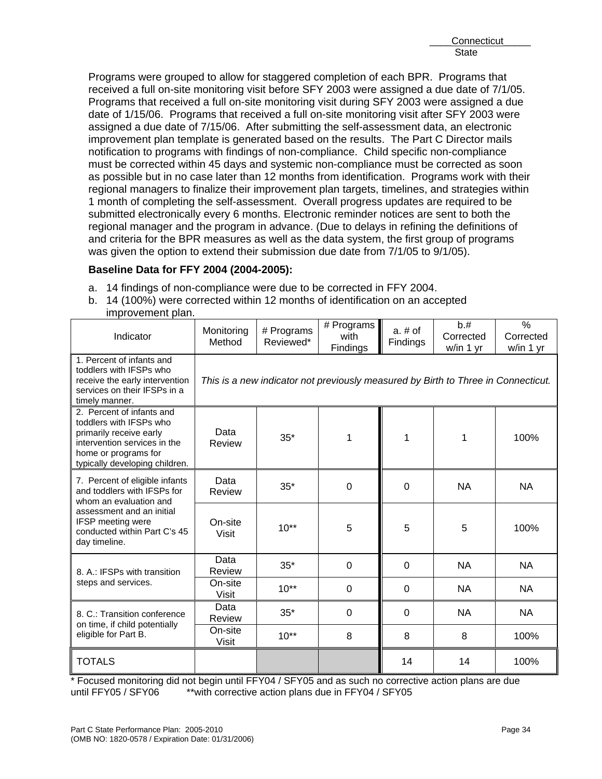Programs were grouped to allow for staggered completion of each BPR. Programs that received a full on-site monitoring visit before SFY 2003 were assigned a due date of 7/1/05. Programs that received a full on-site monitoring visit during SFY 2003 were assigned a due date of 1/15/06. Programs that received a full on-site monitoring visit after SFY 2003 were assigned a due date of 7/15/06. After submitting the self-assessment data, an electronic improvement plan template is generated based on the results. The Part C Director mails notification to programs with findings of non-compliance. Child specific non-compliance must be corrected within 45 days and systemic non-compliance must be corrected as soon as possible but in no case later than 12 months from identification. Programs work with their regional managers to finalize their improvement plan targets, timelines, and strategies within 1 month of completing the self-assessment. Overall progress updates are required to be submitted electronically every 6 months. Electronic reminder notices are sent to both the regional manager and the program in advance. (Due to delays in refining the definitions of and criteria for the BPR measures as well as the data system, the first group of programs was given the option to extend their submission due date from 7/1/05 to 9/1/05).

# **Baseline Data for FFY 2004 (2004-2005):**

- a. 14 findings of non-compliance were due to be corrected in FFY 2004.
- b. 14 (100%) were corrected within 12 months of identification on an accepted improvement plan.

| Indicator                                                                                                                                                                 | Monitoring<br>Method                                                              | # Programs<br>Reviewed* | # Programs<br>with<br><b>Findings</b> | $a. \# of$<br>Findings | b.#<br>Corrected<br>w/in 1 yr | $\frac{0}{0}$<br>Corrected<br>w/in 1 yr |
|---------------------------------------------------------------------------------------------------------------------------------------------------------------------------|-----------------------------------------------------------------------------------|-------------------------|---------------------------------------|------------------------|-------------------------------|-----------------------------------------|
| 1. Percent of infants and<br>toddlers with IFSPs who<br>receive the early intervention<br>services on their IFSPs in a<br>timely manner.                                  | This is a new indicator not previously measured by Birth to Three in Connecticut. |                         |                                       |                        |                               |                                         |
| 2. Percent of infants and<br>toddlers with IFSPs who<br>primarily receive early<br>intervention services in the<br>home or programs for<br>typically developing children. | Data<br>Review                                                                    | $35*$                   | 1                                     | 1                      | 1                             | 100%                                    |
| 7. Percent of eligible infants<br>and toddlers with IFSPs for<br>whom an evaluation and                                                                                   | Data<br>Review                                                                    | $35*$                   | 0                                     | $\Omega$               | <b>NA</b>                     | <b>NA</b>                               |
| assessment and an initial<br><b>IFSP</b> meeting were<br>conducted within Part C's 45<br>day timeline.                                                                    | On-site<br><b>Visit</b>                                                           | $10**$                  | 5                                     | 5                      | 5                             | 100%                                    |
| 8. A.: IFSPs with transition                                                                                                                                              | Data<br>Review                                                                    | $35*$                   | $\overline{0}$                        | $\Omega$               | <b>NA</b>                     | <b>NA</b>                               |
| steps and services.                                                                                                                                                       | On-site<br><b>Visit</b>                                                           | $10^{**}$               | 0                                     | $\Omega$               | <b>NA</b>                     | <b>NA</b>                               |
| 8. C.: Transition conference<br>on time, if child potentially                                                                                                             | Data<br>Review                                                                    | $35*$                   | 0                                     | 0                      | <b>NA</b>                     | <b>NA</b>                               |
| eligible for Part B.                                                                                                                                                      | On-site<br><b>Visit</b>                                                           | $10**$                  | 8                                     | 8                      | 8                             | 100%                                    |
| <b>TOTALS</b>                                                                                                                                                             |                                                                                   |                         |                                       | 14                     | 14                            | 100%                                    |

\* Focused monitoring did not begin until FFY04 / SFY05 and as such no corrective action plans are due<br>until FFY05 / SFY06 \*\*with corrective action plans due in FFY04 / SFY05 \*\*with corrective action plans due in FFY04 / SFY05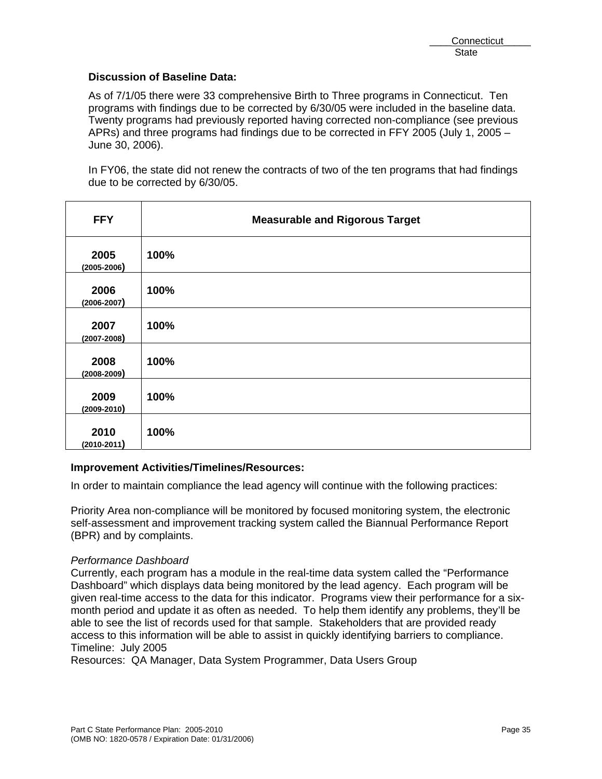## **Discussion of Baseline Data:**

As of 7/1/05 there were 33 comprehensive Birth to Three programs in Connecticut. Ten programs with findings due to be corrected by 6/30/05 were included in the baseline data. Twenty programs had previously reported having corrected non-compliance (see previous APRs) and three programs had findings due to be corrected in FFY 2005 (July 1, 2005 – June 30, 2006).

In FY06, the state did not renew the contracts of two of the ten programs that had findings due to be corrected by 6/30/05.

| <b>FFY</b>              | <b>Measurable and Rigorous Target</b> |
|-------------------------|---------------------------------------|
| 2005<br>$(2005 - 2006)$ | 100%                                  |
| 2006<br>$(2006 - 2007)$ | 100%                                  |
| 2007<br>$(2007 - 2008)$ | 100%                                  |
| 2008<br>$(2008 - 2009)$ | 100%                                  |
| 2009<br>$(2009 - 2010)$ | 100%                                  |
| 2010<br>$(2010 - 2011)$ | 100%                                  |

## **Improvement Activities/Timelines/Resources:**

In order to maintain compliance the lead agency will continue with the following practices:

Priority Area non-compliance will be monitored by focused monitoring system, the electronic self-assessment and improvement tracking system called the Biannual Performance Report (BPR) and by complaints.

## *Performance Dashboard*

Currently, each program has a module in the real-time data system called the "Performance Dashboard" which displays data being monitored by the lead agency. Each program will be given real-time access to the data for this indicator. Programs view their performance for a sixmonth period and update it as often as needed. To help them identify any problems, they'll be able to see the list of records used for that sample. Stakeholders that are provided ready access to this information will be able to assist in quickly identifying barriers to compliance. Timeline: July 2005

Resources: QA Manager, Data System Programmer, Data Users Group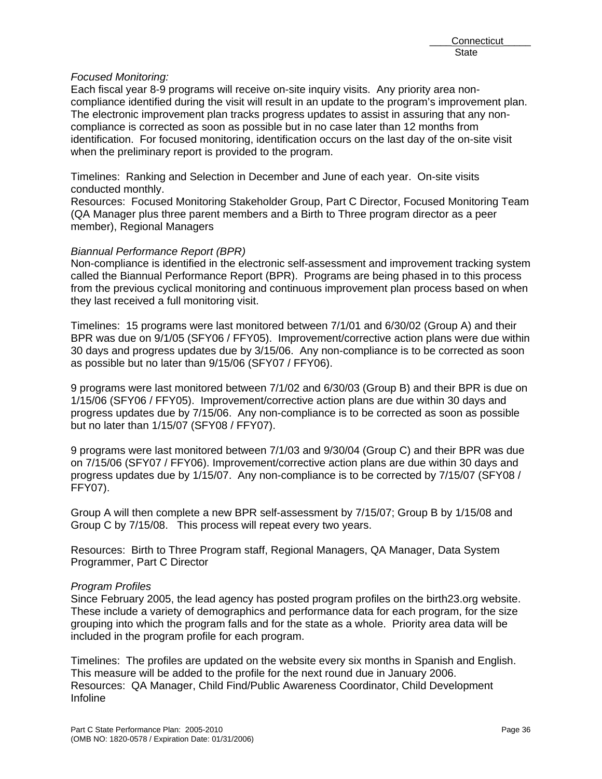## *Focused Monitoring:*

Each fiscal year 8-9 programs will receive on-site inquiry visits. Any priority area noncompliance identified during the visit will result in an update to the program's improvement plan. The electronic improvement plan tracks progress updates to assist in assuring that any noncompliance is corrected as soon as possible but in no case later than 12 months from identification. For focused monitoring, identification occurs on the last day of the on-site visit when the preliminary report is provided to the program.

Timelines: Ranking and Selection in December and June of each year. On-site visits conducted monthly.

Resources: Focused Monitoring Stakeholder Group, Part C Director, Focused Monitoring Team (QA Manager plus three parent members and a Birth to Three program director as a peer member), Regional Managers

#### *Biannual Performance Report (BPR)*

Non-compliance is identified in the electronic self-assessment and improvement tracking system called the Biannual Performance Report (BPR). Programs are being phased in to this process from the previous cyclical monitoring and continuous improvement plan process based on when they last received a full monitoring visit.

Timelines: 15 programs were last monitored between 7/1/01 and 6/30/02 (Group A) and their BPR was due on 9/1/05 (SFY06 / FFY05). Improvement/corrective action plans were due within 30 days and progress updates due by 3/15/06. Any non-compliance is to be corrected as soon as possible but no later than 9/15/06 (SFY07 / FFY06).

9 programs were last monitored between 7/1/02 and 6/30/03 (Group B) and their BPR is due on 1/15/06 (SFY06 / FFY05). Improvement/corrective action plans are due within 30 days and progress updates due by 7/15/06. Any non-compliance is to be corrected as soon as possible but no later than 1/15/07 (SFY08 / FFY07).

9 programs were last monitored between 7/1/03 and 9/30/04 (Group C) and their BPR was due on 7/15/06 (SFY07 / FFY06). Improvement/corrective action plans are due within 30 days and progress updates due by 1/15/07. Any non-compliance is to be corrected by 7/15/07 (SFY08 / FFY07).

Group A will then complete a new BPR self-assessment by 7/15/07; Group B by 1/15/08 and Group C by 7/15/08. This process will repeat every two years.

Resources: Birth to Three Program staff, Regional Managers, QA Manager, Data System Programmer, Part C Director

## *Program Profiles*

Since February 2005, the lead agency has posted program profiles on the birth23.org website. These include a variety of demographics and performance data for each program, for the size grouping into which the program falls and for the state as a whole. Priority area data will be included in the program profile for each program.

Timelines: The profiles are updated on the website every six months in Spanish and English. This measure will be added to the profile for the next round due in January 2006. Resources: QA Manager, Child Find/Public Awareness Coordinator, Child Development Infoline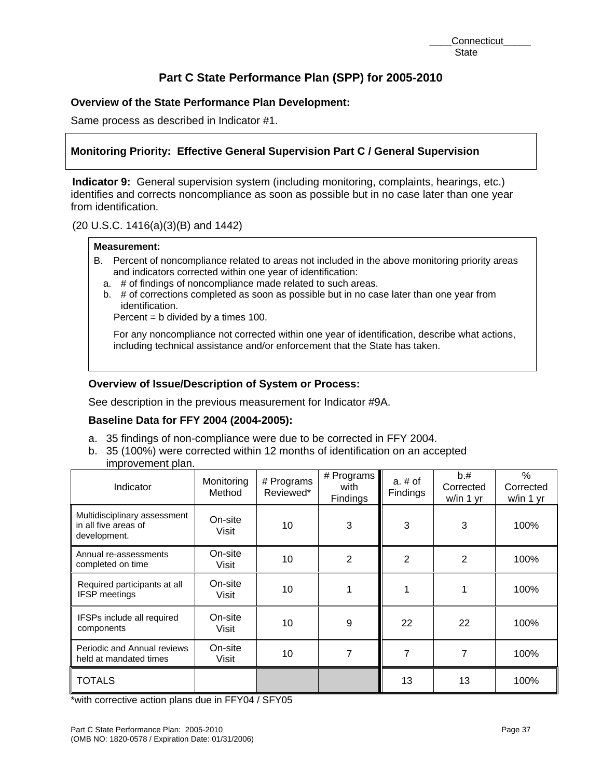# **Overview of the State Performance Plan Development:**

Same process as described in Indicator #1.

# **Monitoring Priority: Effective General Supervision Part C / General Supervision**

**Indicator 9:** General supervision system (including monitoring, complaints, hearings, etc.) identifies and corrects noncompliance as soon as possible but in no case later than one year from identification.

(20 U.S.C. 1416(a)(3)(B) and 1442)

#### **Measurement:**

- B. Percent of noncompliance related to areas not included in the above monitoring priority areas and indicators corrected within one year of identification:
	- a. # of findings of noncompliance made related to such areas.
	- b. # of corrections completed as soon as possible but in no case later than one year from identification.

Percent = b divided by a times 100.

For any noncompliance not corrected within one year of identification, describe what actions, including technical assistance and/or enforcement that the State has taken.

# **Overview of Issue/Description of System or Process:**

See description in the previous measurement for Indicator #9A.

#### **Baseline Data for FFY 2004 (2004-2005):**

- a. 35 findings of non-compliance were due to be corrected in FFY 2004.
- b. 35 (100%) were corrected within 12 months of identification on an accepted
- improvement plan.

| Indicator                                                            | Monitoring<br>Method | # Programs<br>Reviewed* | # Programs<br>with<br>Findings | $a. \# of$<br>Findings | b.#<br>Corrected<br>w/in 1 yr | %<br>Corrected<br>w/in 1 yr |
|----------------------------------------------------------------------|----------------------|-------------------------|--------------------------------|------------------------|-------------------------------|-----------------------------|
| Multidisciplinary assessment<br>in all five areas of<br>development. | On-site<br>Visit     | 10                      | 3                              | 3                      | 3                             | 100%                        |
| Annual re-assessments<br>completed on time                           | On-site<br>Visit     | 10                      | 2                              | 2                      | 2                             | 100%                        |
| Required participants at all<br><b>IFSP</b> meetings                 | On-site<br>Visit     | 10                      |                                |                        |                               | 100%                        |
| IFSPs include all required<br>components                             | On-site<br>Visit     | 10                      | 9                              | 22                     | 22                            | 100%                        |
| Periodic and Annual reviews<br>held at mandated times                | On-site<br>Visit     | 10                      | 7                              | 7                      | 7                             | 100%                        |
| <b>TOTALS</b>                                                        |                      |                         |                                | 13                     | 13                            | 100%                        |

\*with corrective action plans due in FFY04 / SFY05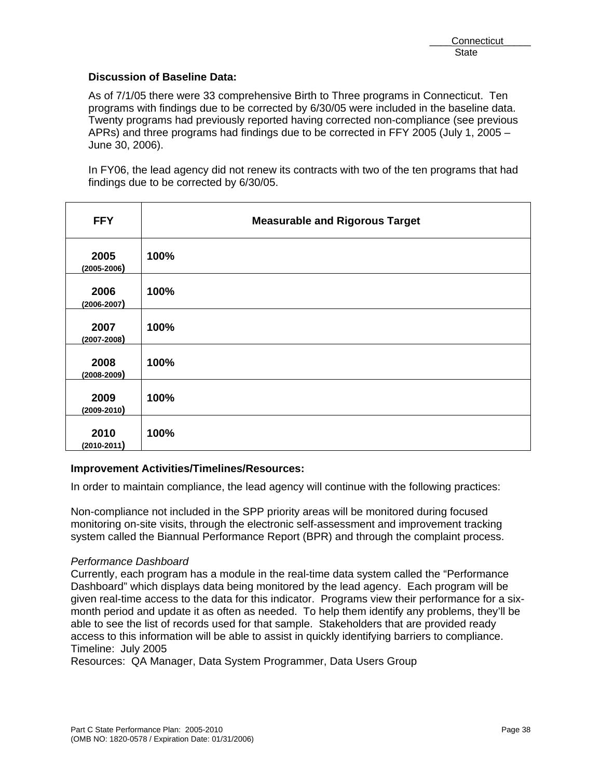## **Discussion of Baseline Data:**

As of 7/1/05 there were 33 comprehensive Birth to Three programs in Connecticut. Ten programs with findings due to be corrected by 6/30/05 were included in the baseline data. Twenty programs had previously reported having corrected non-compliance (see previous APRs) and three programs had findings due to be corrected in FFY 2005 (July 1, 2005 – June 30, 2006).

In FY06, the lead agency did not renew its contracts with two of the ten programs that had findings due to be corrected by 6/30/05.

| <b>FFY</b>              | <b>Measurable and Rigorous Target</b> |
|-------------------------|---------------------------------------|
| 2005<br>$(2005 - 2006)$ | 100%                                  |
| 2006<br>$(2006 - 2007)$ | 100%                                  |
| 2007<br>$(2007 - 2008)$ | 100%                                  |
| 2008<br>$(2008 - 2009)$ | 100%                                  |
| 2009<br>$(2009 - 2010)$ | 100%                                  |
| 2010<br>$(2010 - 2011)$ | 100%                                  |

## **Improvement Activities/Timelines/Resources:**

In order to maintain compliance, the lead agency will continue with the following practices:

Non-compliance not included in the SPP priority areas will be monitored during focused monitoring on-site visits, through the electronic self-assessment and improvement tracking system called the Biannual Performance Report (BPR) and through the complaint process.

## *Performance Dashboard*

Currently, each program has a module in the real-time data system called the "Performance Dashboard" which displays data being monitored by the lead agency. Each program will be given real-time access to the data for this indicator. Programs view their performance for a sixmonth period and update it as often as needed. To help them identify any problems, they'll be able to see the list of records used for that sample. Stakeholders that are provided ready access to this information will be able to assist in quickly identifying barriers to compliance. Timeline: July 2005

Resources: QA Manager, Data System Programmer, Data Users Group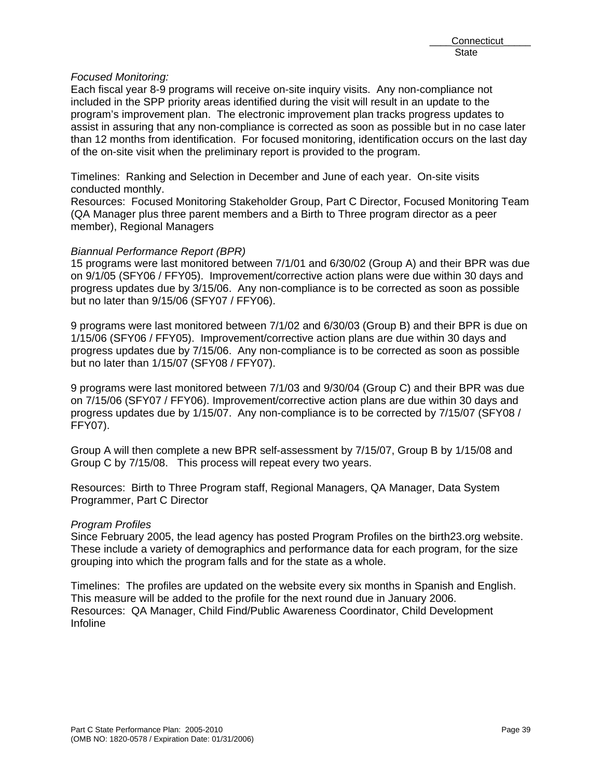## *Focused Monitoring:*

Each fiscal year 8-9 programs will receive on-site inquiry visits. Any non-compliance not included in the SPP priority areas identified during the visit will result in an update to the program's improvement plan. The electronic improvement plan tracks progress updates to assist in assuring that any non-compliance is corrected as soon as possible but in no case later than 12 months from identification. For focused monitoring, identification occurs on the last day of the on-site visit when the preliminary report is provided to the program.

Timelines: Ranking and Selection in December and June of each year. On-site visits conducted monthly.

Resources: Focused Monitoring Stakeholder Group, Part C Director, Focused Monitoring Team (QA Manager plus three parent members and a Birth to Three program director as a peer member), Regional Managers

#### *Biannual Performance Report (BPR)*

15 programs were last monitored between 7/1/01 and 6/30/02 (Group A) and their BPR was due on 9/1/05 (SFY06 / FFY05). Improvement/corrective action plans were due within 30 days and progress updates due by 3/15/06. Any non-compliance is to be corrected as soon as possible but no later than 9/15/06 (SFY07 / FFY06).

9 programs were last monitored between 7/1/02 and 6/30/03 (Group B) and their BPR is due on 1/15/06 (SFY06 / FFY05). Improvement/corrective action plans are due within 30 days and progress updates due by 7/15/06. Any non-compliance is to be corrected as soon as possible but no later than 1/15/07 (SFY08 / FFY07).

9 programs were last monitored between 7/1/03 and 9/30/04 (Group C) and their BPR was due on 7/15/06 (SFY07 / FFY06). Improvement/corrective action plans are due within 30 days and progress updates due by 1/15/07. Any non-compliance is to be corrected by 7/15/07 (SFY08 / FFY07).

Group A will then complete a new BPR self-assessment by 7/15/07, Group B by 1/15/08 and Group C by 7/15/08. This process will repeat every two years.

Resources: Birth to Three Program staff, Regional Managers, QA Manager, Data System Programmer, Part C Director

## *Program Profiles*

Since February 2005, the lead agency has posted Program Profiles on the birth23.org website. These include a variety of demographics and performance data for each program, for the size grouping into which the program falls and for the state as a whole.

Timelines: The profiles are updated on the website every six months in Spanish and English. This measure will be added to the profile for the next round due in January 2006. Resources: QA Manager, Child Find/Public Awareness Coordinator, Child Development Infoline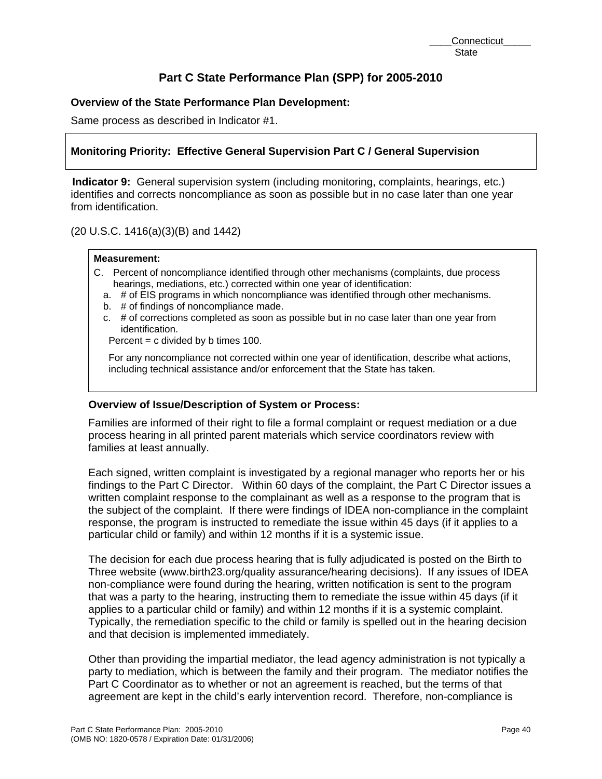# **Overview of the State Performance Plan Development:**

Same process as described in Indicator #1.

# **Monitoring Priority: Effective General Supervision Part C / General Supervision**

**Indicator 9:** General supervision system (including monitoring, complaints, hearings, etc.) identifies and corrects noncompliance as soon as possible but in no case later than one year from identification.

(20 U.S.C. 1416(a)(3)(B) and 1442)

#### **Measurement:**

- C. Percent of noncompliance identified through other mechanisms (complaints, due process hearings, mediations, etc.) corrected within one year of identification:
	- a. # of EIS programs in which noncompliance was identified through other mechanisms.
	- b. # of findings of noncompliance made.
	- c. # of corrections completed as soon as possible but in no case later than one year from identification.

Percent  $= c$  divided by b times 100.

For any noncompliance not corrected within one year of identification, describe what actions, including technical assistance and/or enforcement that the State has taken.

## **Overview of Issue/Description of System or Process:**

Families are informed of their right to file a formal complaint or request mediation or a due process hearing in all printed parent materials which service coordinators review with families at least annually.

Each signed, written complaint is investigated by a regional manager who reports her or his findings to the Part C Director. Within 60 days of the complaint, the Part C Director issues a written complaint response to the complainant as well as a response to the program that is the subject of the complaint. If there were findings of IDEA non-compliance in the complaint response, the program is instructed to remediate the issue within 45 days (if it applies to a particular child or family) and within 12 months if it is a systemic issue.

The decision for each due process hearing that is fully adjudicated is posted on the Birth to Three website (www.birth23.org/quality assurance/hearing decisions). If any issues of IDEA non-compliance were found during the hearing, written notification is sent to the program that was a party to the hearing, instructing them to remediate the issue within 45 days (if it applies to a particular child or family) and within 12 months if it is a systemic complaint. Typically, the remediation specific to the child or family is spelled out in the hearing decision and that decision is implemented immediately.

Other than providing the impartial mediator, the lead agency administration is not typically a party to mediation, which is between the family and their program. The mediator notifies the Part C Coordinator as to whether or not an agreement is reached, but the terms of that agreement are kept in the child's early intervention record. Therefore, non-compliance is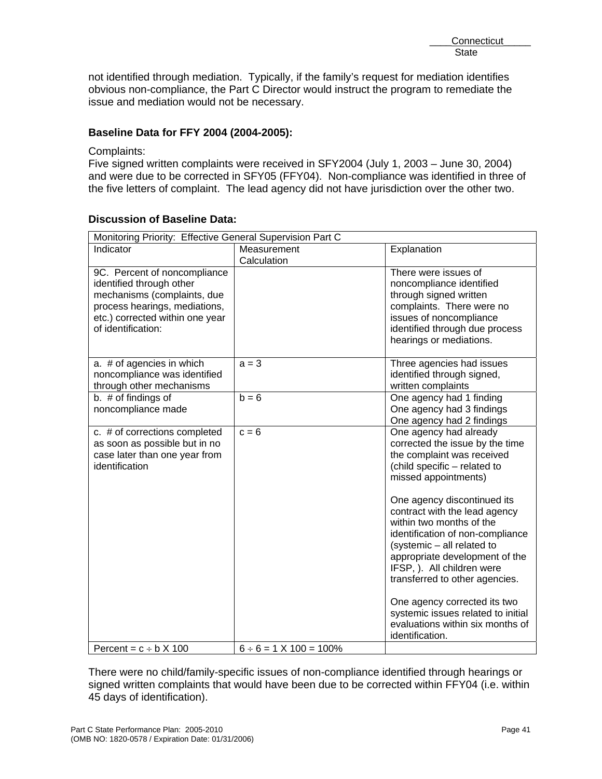not identified through mediation. Typically, if the family's request for mediation identifies obvious non-compliance, the Part C Director would instruct the program to remediate the issue and mediation would not be necessary.

# **Baseline Data for FFY 2004 (2004-2005):**

#### Complaints:

Five signed written complaints were received in SFY2004 (July 1, 2003 – June 30, 2004) and were due to be corrected in SFY05 (FFY04). Non-compliance was identified in three of the five letters of complaint. The lead agency did not have jurisdiction over the other two.

| Monitoring Priority: Effective General Supervision Part C                                                                                                                         |                                   |                                                                                                                                                                                                                                                                                                                                                                                                                                                                                                                                              |  |  |  |
|-----------------------------------------------------------------------------------------------------------------------------------------------------------------------------------|-----------------------------------|----------------------------------------------------------------------------------------------------------------------------------------------------------------------------------------------------------------------------------------------------------------------------------------------------------------------------------------------------------------------------------------------------------------------------------------------------------------------------------------------------------------------------------------------|--|--|--|
| Indicator                                                                                                                                                                         | Measurement<br>Calculation        | Explanation                                                                                                                                                                                                                                                                                                                                                                                                                                                                                                                                  |  |  |  |
| 9C. Percent of noncompliance<br>identified through other<br>mechanisms (complaints, due<br>process hearings, mediations,<br>etc.) corrected within one year<br>of identification: |                                   | There were issues of<br>noncompliance identified<br>through signed written<br>complaints. There were no<br>issues of noncompliance<br>identified through due process<br>hearings or mediations.                                                                                                                                                                                                                                                                                                                                              |  |  |  |
| a. # of agencies in which<br>noncompliance was identified<br>through other mechanisms                                                                                             | $a = 3$                           | Three agencies had issues<br>identified through signed,<br>written complaints                                                                                                                                                                                                                                                                                                                                                                                                                                                                |  |  |  |
| b. # of findings of<br>noncompliance made                                                                                                                                         | $h = 6$                           | One agency had 1 finding<br>One agency had 3 findings<br>One agency had 2 findings                                                                                                                                                                                                                                                                                                                                                                                                                                                           |  |  |  |
| c. # of corrections completed<br>as soon as possible but in no<br>case later than one year from<br>identification                                                                 | $c = 6$                           | One agency had already<br>corrected the issue by the time<br>the complaint was received<br>(child specific - related to<br>missed appointments)<br>One agency discontinued its<br>contract with the lead agency<br>within two months of the<br>identification of non-compliance<br>(systemic - all related to<br>appropriate development of the<br>IFSP, ). All children were<br>transferred to other agencies.<br>One agency corrected its two<br>systemic issues related to initial<br>evaluations within six months of<br>identification. |  |  |  |
| Percent = $c \div b \times 100$                                                                                                                                                   | $6 \div 6 = 1 \times 100 = 100\%$ |                                                                                                                                                                                                                                                                                                                                                                                                                                                                                                                                              |  |  |  |

# **Discussion of Baseline Data:**

There were no child/family-specific issues of non-compliance identified through hearings or signed written complaints that would have been due to be corrected within FFY04 (i.e. within 45 days of identification).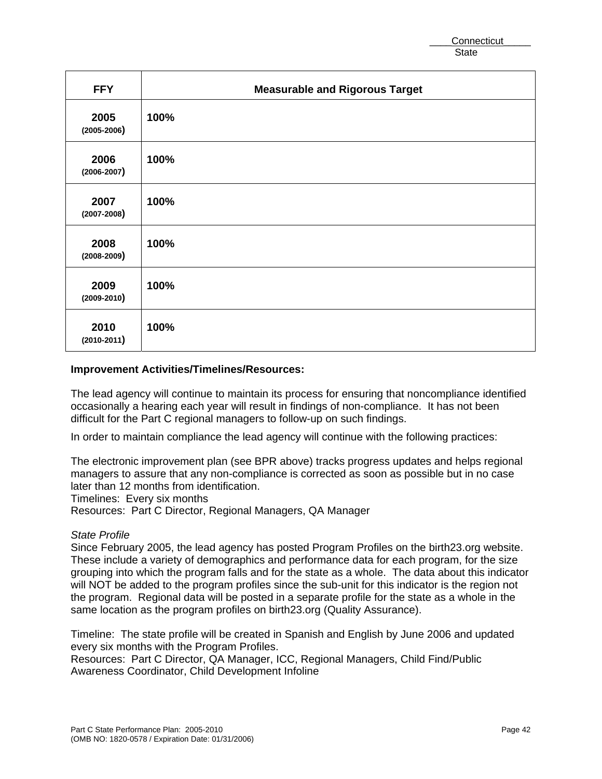| <b>FFY</b>              | <b>Measurable and Rigorous Target</b> |
|-------------------------|---------------------------------------|
| 2005<br>$(2005 - 2006)$ | 100%                                  |
| 2006<br>$(2006 - 2007)$ | 100%                                  |
| 2007<br>$(2007 - 2008)$ | 100%                                  |
| 2008<br>$(2008 - 2009)$ | 100%                                  |
| 2009<br>$(2009 - 2010)$ | 100%                                  |
| 2010<br>$(2010-2011)$   | 100%                                  |

## **Improvement Activities/Timelines/Resources:**

The lead agency will continue to maintain its process for ensuring that noncompliance identified occasionally a hearing each year will result in findings of non-compliance. It has not been difficult for the Part C regional managers to follow-up on such findings.

In order to maintain compliance the lead agency will continue with the following practices:

The electronic improvement plan (see BPR above) tracks progress updates and helps regional managers to assure that any non-compliance is corrected as soon as possible but in no case later than 12 months from identification.

Timelines: Every six months

Resources: Part C Director, Regional Managers, QA Manager

## *State Profile*

Since February 2005, the lead agency has posted Program Profiles on the birth23.org website. These include a variety of demographics and performance data for each program, for the size grouping into which the program falls and for the state as a whole. The data about this indicator will NOT be added to the program profiles since the sub-unit for this indicator is the region not the program. Regional data will be posted in a separate profile for the state as a whole in the same location as the program profiles on birth23.org (Quality Assurance).

Timeline: The state profile will be created in Spanish and English by June 2006 and updated every six months with the Program Profiles.

Resources: Part C Director, QA Manager, ICC, Regional Managers, Child Find/Public Awareness Coordinator, Child Development Infoline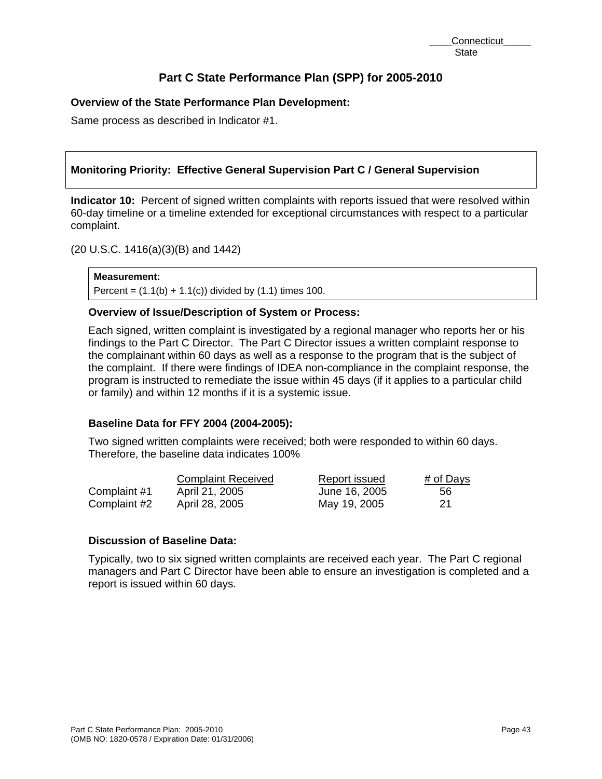# **Overview of the State Performance Plan Development:**

Same process as described in Indicator #1.

# **Monitoring Priority: Effective General Supervision Part C / General Supervision**

**Indicator 10:** Percent of signed written complaints with reports issued that were resolved within 60-day timeline or a timeline extended for exceptional circumstances with respect to a particular complaint.

(20 U.S.C. 1416(a)(3)(B) and 1442)

**Measurement:**  Percent =  $(1.1(b) + 1.1(c))$  divided by  $(1.1)$  times 100.

# **Overview of Issue/Description of System or Process:**

Each signed, written complaint is investigated by a regional manager who reports her or his findings to the Part C Director. The Part C Director issues a written complaint response to the complainant within 60 days as well as a response to the program that is the subject of the complaint. If there were findings of IDEA non-compliance in the complaint response, the program is instructed to remediate the issue within 45 days (if it applies to a particular child or family) and within 12 months if it is a systemic issue.

## **Baseline Data for FFY 2004 (2004-2005):**

Two signed written complaints were received; both were responded to within 60 days. Therefore, the baseline data indicates 100%

|              | <b>Complaint Received</b> | Report issued | # of Days |
|--------------|---------------------------|---------------|-----------|
| Complaint #1 | April 21, 2005            | June 16, 2005 | -56       |
| Complaint #2 | April 28, 2005            | May 19, 2005  | -21       |

# **Discussion of Baseline Data:**

Typically, two to six signed written complaints are received each year. The Part C regional managers and Part C Director have been able to ensure an investigation is completed and a report is issued within 60 days.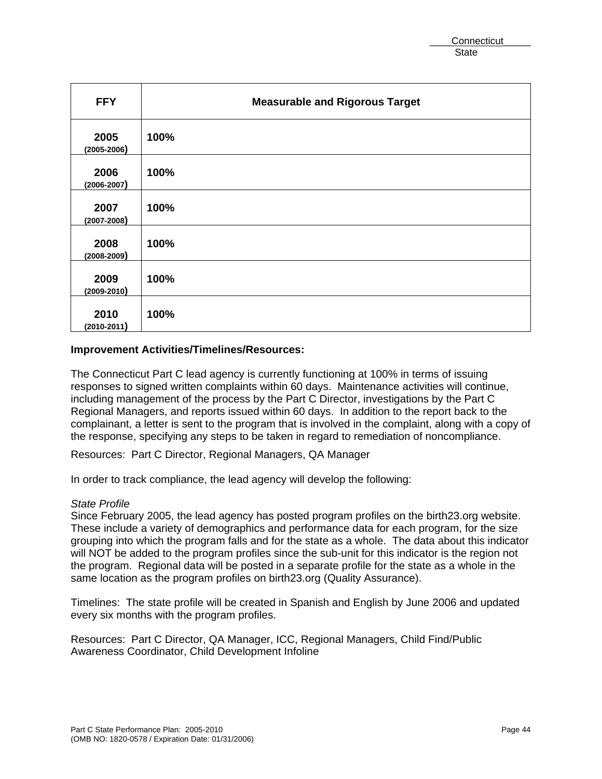| <b>FFY</b>              | <b>Measurable and Rigorous Target</b> |
|-------------------------|---------------------------------------|
| 2005<br>$(2005 - 2006)$ | 100%                                  |
| 2006<br>$(2006 - 2007)$ | 100%                                  |
| 2007<br>$(2007 - 2008)$ | 100%                                  |
| 2008<br>$(2008 - 2009)$ | 100%                                  |
| 2009<br>$(2009 - 2010)$ | 100%                                  |
| 2010<br>$(2010 - 2011)$ | 100%                                  |

#### **Improvement Activities/Timelines/Resources:**

The Connecticut Part C lead agency is currently functioning at 100% in terms of issuing responses to signed written complaints within 60 days. Maintenance activities will continue, including management of the process by the Part C Director, investigations by the Part C Regional Managers, and reports issued within 60 days. In addition to the report back to the complainant, a letter is sent to the program that is involved in the complaint, along with a copy of the response, specifying any steps to be taken in regard to remediation of noncompliance.

Resources: Part C Director, Regional Managers, QA Manager

In order to track compliance, the lead agency will develop the following:

#### *State Profile*

Since February 2005, the lead agency has posted program profiles on the birth23.org website. These include a variety of demographics and performance data for each program, for the size grouping into which the program falls and for the state as a whole. The data about this indicator will NOT be added to the program profiles since the sub-unit for this indicator is the region not the program. Regional data will be posted in a separate profile for the state as a whole in the same location as the program profiles on birth23.org (Quality Assurance).

Timelines: The state profile will be created in Spanish and English by June 2006 and updated every six months with the program profiles.

Resources: Part C Director, QA Manager, ICC, Regional Managers, Child Find/Public Awareness Coordinator, Child Development Infoline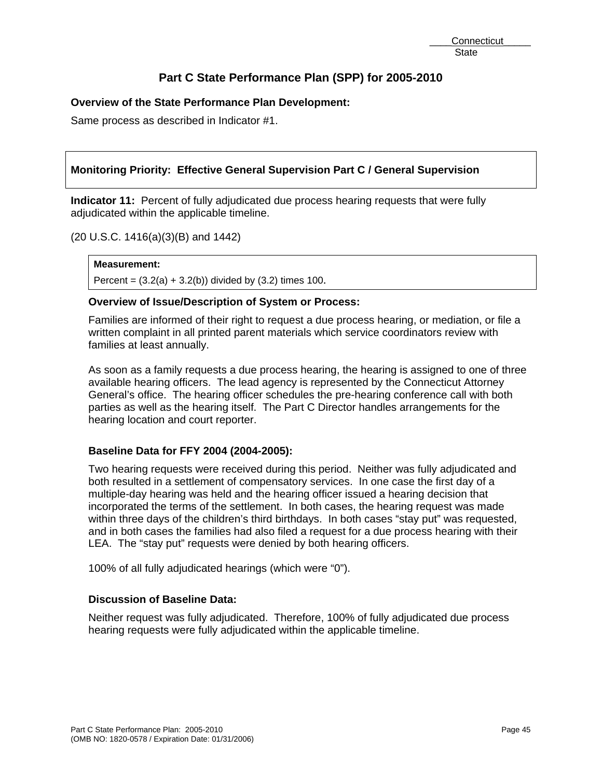# **Overview of the State Performance Plan Development:**

Same process as described in Indicator #1.

# **Monitoring Priority: Effective General Supervision Part C / General Supervision**

**Indicator 11:** Percent of fully adjudicated due process hearing requests that were fully adjudicated within the applicable timeline.

(20 U.S.C. 1416(a)(3)(B) and 1442)

## **Measurement:**

Percent =  $(3.2(a) + 3.2(b))$  divided by  $(3.2)$  times 100.

# **Overview of Issue/Description of System or Process:**

Families are informed of their right to request a due process hearing, or mediation, or file a written complaint in all printed parent materials which service coordinators review with families at least annually.

As soon as a family requests a due process hearing, the hearing is assigned to one of three available hearing officers. The lead agency is represented by the Connecticut Attorney General's office. The hearing officer schedules the pre-hearing conference call with both parties as well as the hearing itself. The Part C Director handles arrangements for the hearing location and court reporter.

## **Baseline Data for FFY 2004 (2004-2005):**

Two hearing requests were received during this period. Neither was fully adjudicated and both resulted in a settlement of compensatory services. In one case the first day of a multiple-day hearing was held and the hearing officer issued a hearing decision that incorporated the terms of the settlement. In both cases, the hearing request was made within three days of the children's third birthdays. In both cases "stay put" was requested, and in both cases the families had also filed a request for a due process hearing with their LEA. The "stay put" requests were denied by both hearing officers.

100% of all fully adjudicated hearings (which were "0").

# **Discussion of Baseline Data:**

Neither request was fully adjudicated. Therefore, 100% of fully adjudicated due process hearing requests were fully adjudicated within the applicable timeline.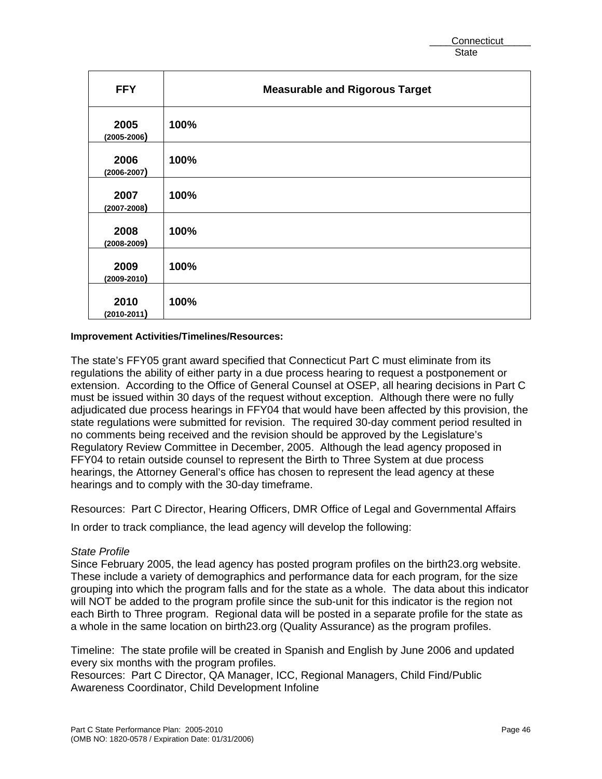| <b>FFY</b>              | <b>Measurable and Rigorous Target</b> |
|-------------------------|---------------------------------------|
| 2005<br>$(2005 - 2006)$ | 100%                                  |
| 2006<br>$(2006 - 2007)$ | 100%                                  |
| 2007<br>$(2007 - 2008)$ | 100%                                  |
| 2008<br>$(2008 - 2009)$ | 100%                                  |
| 2009<br>$(2009 - 2010)$ | 100%                                  |
| 2010<br>$(2010 - 2011)$ | 100%                                  |

#### **Improvement Activities/Timelines/Resources:**

The state's FFY05 grant award specified that Connecticut Part C must eliminate from its regulations the ability of either party in a due process hearing to request a postponement or extension. According to the Office of General Counsel at OSEP, all hearing decisions in Part C must be issued within 30 days of the request without exception. Although there were no fully adjudicated due process hearings in FFY04 that would have been affected by this provision, the state regulations were submitted for revision. The required 30-day comment period resulted in no comments being received and the revision should be approved by the Legislature's Regulatory Review Committee in December, 2005. Although the lead agency proposed in FFY04 to retain outside counsel to represent the Birth to Three System at due process hearings, the Attorney General's office has chosen to represent the lead agency at these hearings and to comply with the 30-day timeframe.

Resources: Part C Director, Hearing Officers, DMR Office of Legal and Governmental Affairs

In order to track compliance, the lead agency will develop the following:

## *State Profile*

Since February 2005, the lead agency has posted program profiles on the birth23.org website. These include a variety of demographics and performance data for each program, for the size grouping into which the program falls and for the state as a whole. The data about this indicator will NOT be added to the program profile since the sub-unit for this indicator is the region not each Birth to Three program. Regional data will be posted in a separate profile for the state as a whole in the same location on birth23.org (Quality Assurance) as the program profiles.

Timeline: The state profile will be created in Spanish and English by June 2006 and updated every six months with the program profiles.

Resources: Part C Director, QA Manager, ICC, Regional Managers, Child Find/Public Awareness Coordinator, Child Development Infoline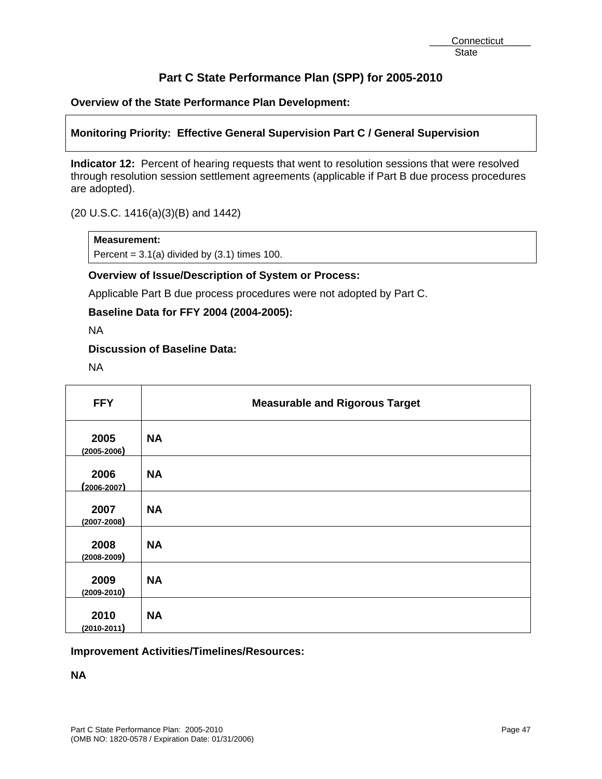# **Overview of the State Performance Plan Development:**

# **Monitoring Priority: Effective General Supervision Part C / General Supervision**

**Indicator 12:** Percent of hearing requests that went to resolution sessions that were resolved through resolution session settlement agreements (applicable if Part B due process procedures are adopted).

(20 U.S.C. 1416(a)(3)(B) and 1442)

## **Measurement:**

Percent =  $3.1(a)$  divided by  $(3.1)$  times 100.

## **Overview of Issue/Description of System or Process:**

Applicable Part B due process procedures were not adopted by Part C.

**Baseline Data for FFY 2004 (2004-2005):** 

NA

## **Discussion of Baseline Data:**

NA

| <b>FFY</b>              | <b>Measurable and Rigorous Target</b> |
|-------------------------|---------------------------------------|
| 2005<br>$(2005 - 2006)$ | <b>NA</b>                             |
| 2006<br>$(2006 - 2007)$ | <b>NA</b>                             |
| 2007<br>$(2007 - 2008)$ | <b>NA</b>                             |
| 2008<br>$(2008 - 2009)$ | <b>NA</b>                             |
| 2009<br>$(2009 - 2010)$ | <b>NA</b>                             |
| 2010<br>$(2010 - 2011)$ | <b>NA</b>                             |

# **Improvement Activities/Timelines/Resources:**

**NA**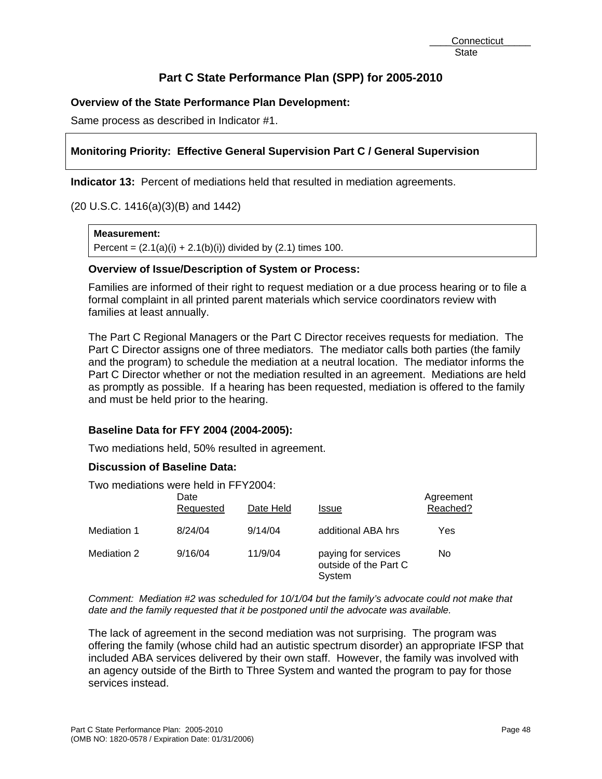# **Overview of the State Performance Plan Development:**

Same process as described in Indicator #1.

# **Monitoring Priority: Effective General Supervision Part C / General Supervision**

**Indicator 13:** Percent of mediations held that resulted in mediation agreements.

(20 U.S.C. 1416(a)(3)(B) and 1442)

#### **Measurement:**

Percent =  $(2.1(a)(i) + 2.1(b)(i))$  divided by  $(2.1)$  times 100.

## **Overview of Issue/Description of System or Process:**

Families are informed of their right to request mediation or a due process hearing or to file a formal complaint in all printed parent materials which service coordinators review with families at least annually.

The Part C Regional Managers or the Part C Director receives requests for mediation. The Part C Director assigns one of three mediators. The mediator calls both parties (the family and the program) to schedule the mediation at a neutral location. The mediator informs the Part C Director whether or not the mediation resulted in an agreement. Mediations are held as promptly as possible. If a hearing has been requested, mediation is offered to the family and must be held prior to the hearing.

## **Baseline Data for FFY 2004 (2004-2005):**

Two mediations held, 50% resulted in agreement.

## **Discussion of Baseline Data:**

Two mediations were held in FFY2004:

|             | Date<br>Requested | Date Held | <b>Issue</b>                                           | Agreement<br>Reached? |
|-------------|-------------------|-----------|--------------------------------------------------------|-----------------------|
| Mediation 1 | 8/24/04           | 9/14/04   | additional ABA hrs                                     | Yes                   |
| Mediation 2 | 9/16/04           | 11/9/04   | paying for services<br>outside of the Part C<br>System | No                    |

*Comment: Mediation #2 was scheduled for 10/1/04 but the family's advocate could not make that date and the family requested that it be postponed until the advocate was available.* 

The lack of agreement in the second mediation was not surprising. The program was offering the family (whose child had an autistic spectrum disorder) an appropriate IFSP that included ABA services delivered by their own staff. However, the family was involved with an agency outside of the Birth to Three System and wanted the program to pay for those services instead.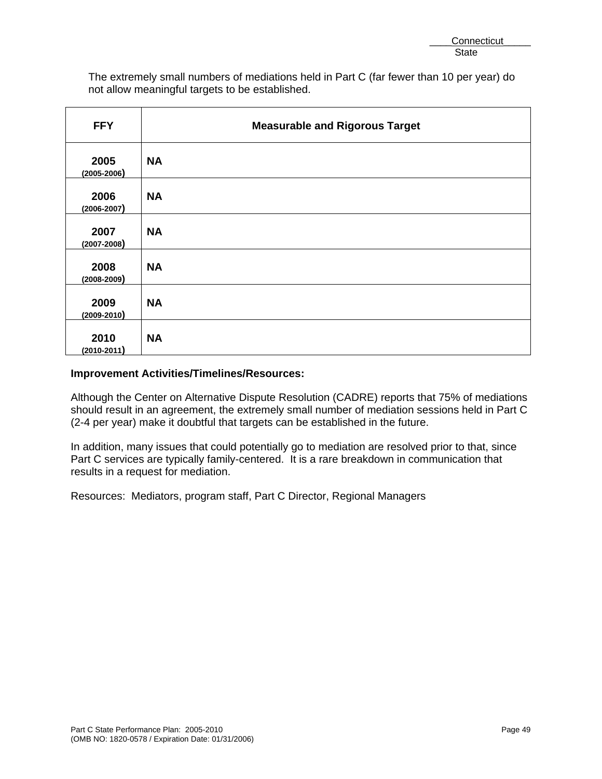The extremely small numbers of mediations held in Part C (far fewer than 10 per year) do not allow meaningful targets to be established.

| <b>FFY</b>              | <b>Measurable and Rigorous Target</b> |
|-------------------------|---------------------------------------|
| 2005<br>$(2005 - 2006)$ | <b>NA</b>                             |
| 2006<br>$(2006 - 2007)$ | <b>NA</b>                             |
| 2007<br>$(2007 - 2008)$ | <b>NA</b>                             |
| 2008<br>$(2008 - 2009)$ | <b>NA</b>                             |
| 2009<br>$(2009 - 2010)$ | <b>NA</b>                             |
| 2010<br>$(2010 - 2011)$ | <b>NA</b>                             |

# **Improvement Activities/Timelines/Resources:**

Although the Center on Alternative Dispute Resolution (CADRE) reports that 75% of mediations should result in an agreement, the extremely small number of mediation sessions held in Part C (2-4 per year) make it doubtful that targets can be established in the future.

In addition, many issues that could potentially go to mediation are resolved prior to that, since Part C services are typically family-centered. It is a rare breakdown in communication that results in a request for mediation.

Resources: Mediators, program staff, Part C Director, Regional Managers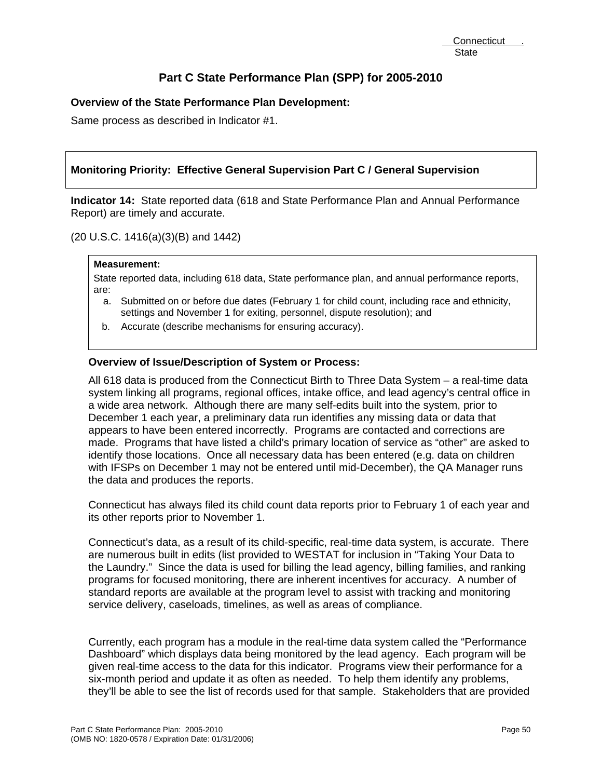# **Overview of the State Performance Plan Development:**

Same process as described in Indicator #1.

# **Monitoring Priority: Effective General Supervision Part C / General Supervision**

**Indicator 14:** State reported data (618 and State Performance Plan and Annual Performance Report) are timely and accurate.

(20 U.S.C. 1416(a)(3)(B) and 1442)

#### **Measurement:**

State reported data, including 618 data, State performance plan, and annual performance reports, are:

- a. Submitted on or before due dates (February 1 for child count, including race and ethnicity, settings and November 1 for exiting, personnel, dispute resolution); and
- b. Accurate (describe mechanisms for ensuring accuracy).

## **Overview of Issue/Description of System or Process:**

All 618 data is produced from the Connecticut Birth to Three Data System – a real-time data system linking all programs, regional offices, intake office, and lead agency's central office in a wide area network. Although there are many self-edits built into the system, prior to December 1 each year, a preliminary data run identifies any missing data or data that appears to have been entered incorrectly. Programs are contacted and corrections are made. Programs that have listed a child's primary location of service as "other" are asked to identify those locations. Once all necessary data has been entered (e.g. data on children with IFSPs on December 1 may not be entered until mid-December), the QA Manager runs the data and produces the reports.

Connecticut has always filed its child count data reports prior to February 1 of each year and its other reports prior to November 1.

Connecticut's data, as a result of its child-specific, real-time data system, is accurate. There are numerous built in edits (list provided to WESTAT for inclusion in "Taking Your Data to the Laundry." Since the data is used for billing the lead agency, billing families, and ranking programs for focused monitoring, there are inherent incentives for accuracy. A number of standard reports are available at the program level to assist with tracking and monitoring service delivery, caseloads, timelines, as well as areas of compliance.

Currently, each program has a module in the real-time data system called the "Performance Dashboard" which displays data being monitored by the lead agency. Each program will be given real-time access to the data for this indicator. Programs view their performance for a six-month period and update it as often as needed. To help them identify any problems, they'll be able to see the list of records used for that sample. Stakeholders that are provided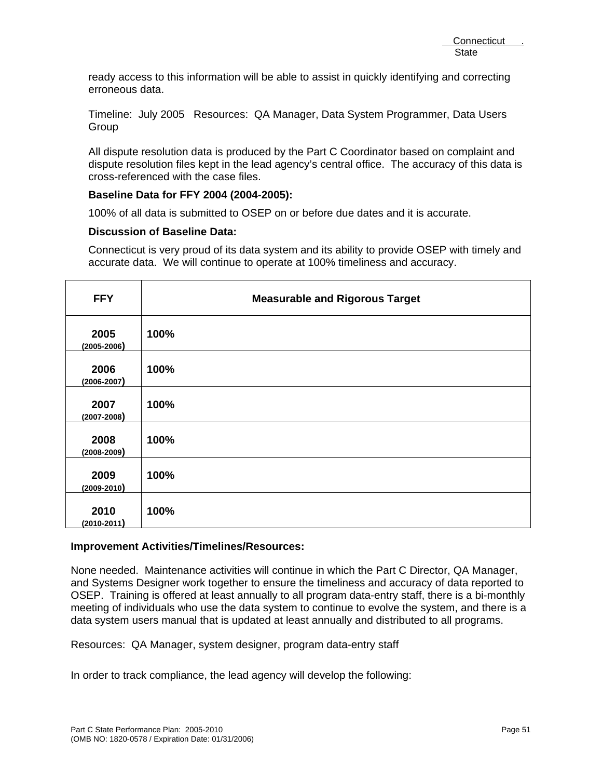ready access to this information will be able to assist in quickly identifying and correcting erroneous data.

Timeline: July 2005 Resources: QA Manager, Data System Programmer, Data Users **Group** 

All dispute resolution data is produced by the Part C Coordinator based on complaint and dispute resolution files kept in the lead agency's central office. The accuracy of this data is cross-referenced with the case files.

## **Baseline Data for FFY 2004 (2004-2005):**

100% of all data is submitted to OSEP on or before due dates and it is accurate.

## **Discussion of Baseline Data:**

Connecticut is very proud of its data system and its ability to provide OSEP with timely and accurate data. We will continue to operate at 100% timeliness and accuracy.

| <b>FFY</b>              | <b>Measurable and Rigorous Target</b> |
|-------------------------|---------------------------------------|
| 2005<br>$(2005 - 2006)$ | 100%                                  |
| 2006<br>$(2006 - 2007)$ | 100%                                  |
| 2007<br>$(2007 - 2008)$ | 100%                                  |
| 2008<br>$(2008 - 2009)$ | 100%                                  |
| 2009<br>$(2009 - 2010)$ | 100%                                  |
| 2010<br>$(2010 - 2011)$ | 100%                                  |

## **Improvement Activities/Timelines/Resources:**

None needed. Maintenance activities will continue in which the Part C Director, QA Manager, and Systems Designer work together to ensure the timeliness and accuracy of data reported to OSEP. Training is offered at least annually to all program data-entry staff, there is a bi-monthly meeting of individuals who use the data system to continue to evolve the system, and there is a data system users manual that is updated at least annually and distributed to all programs.

Resources: QA Manager, system designer, program data-entry staff

In order to track compliance, the lead agency will develop the following: